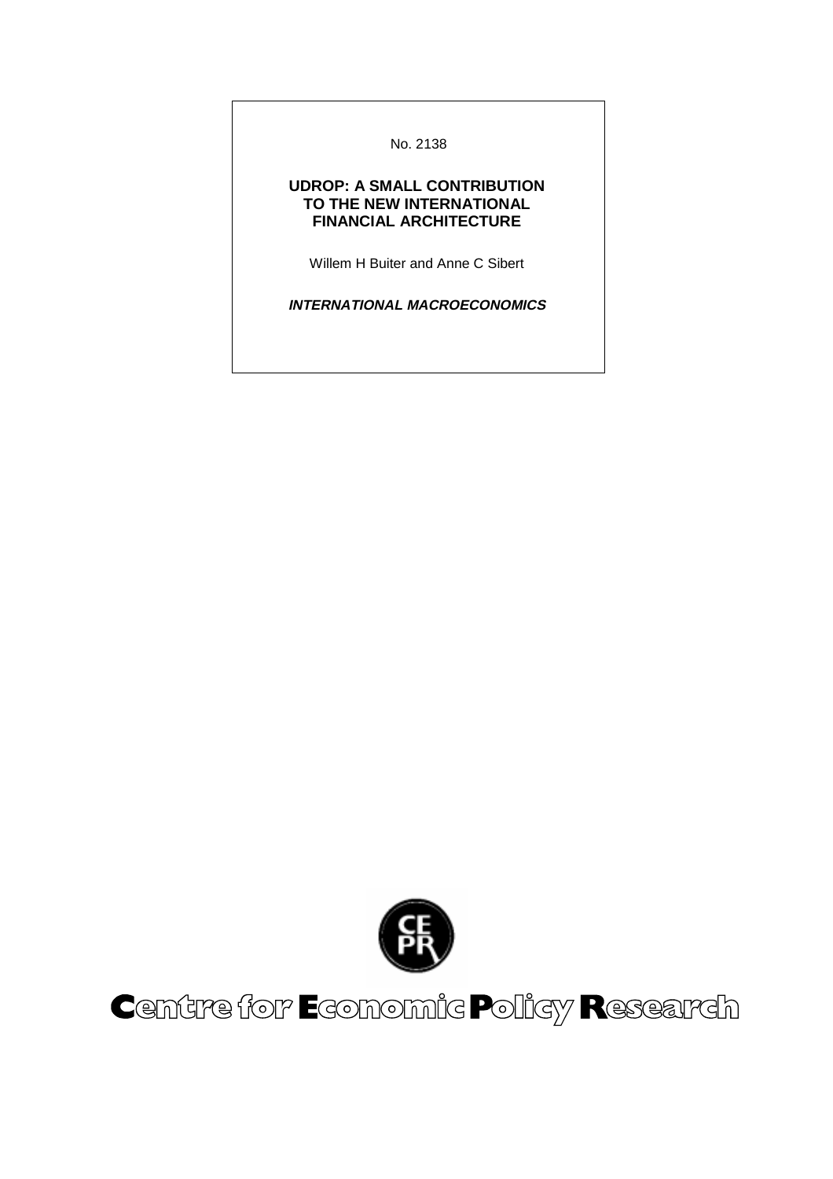No. 2138

#### **UDROP: A SMALL CONTRIBUTION TO THE NEW INTERNATIONAL FINANCIAL ARCHITECTURE**

Willem H Buiter and Anne C Sibert

**INTERNATIONAL MACROECONOMICS**



# Centre for Economic Policy Research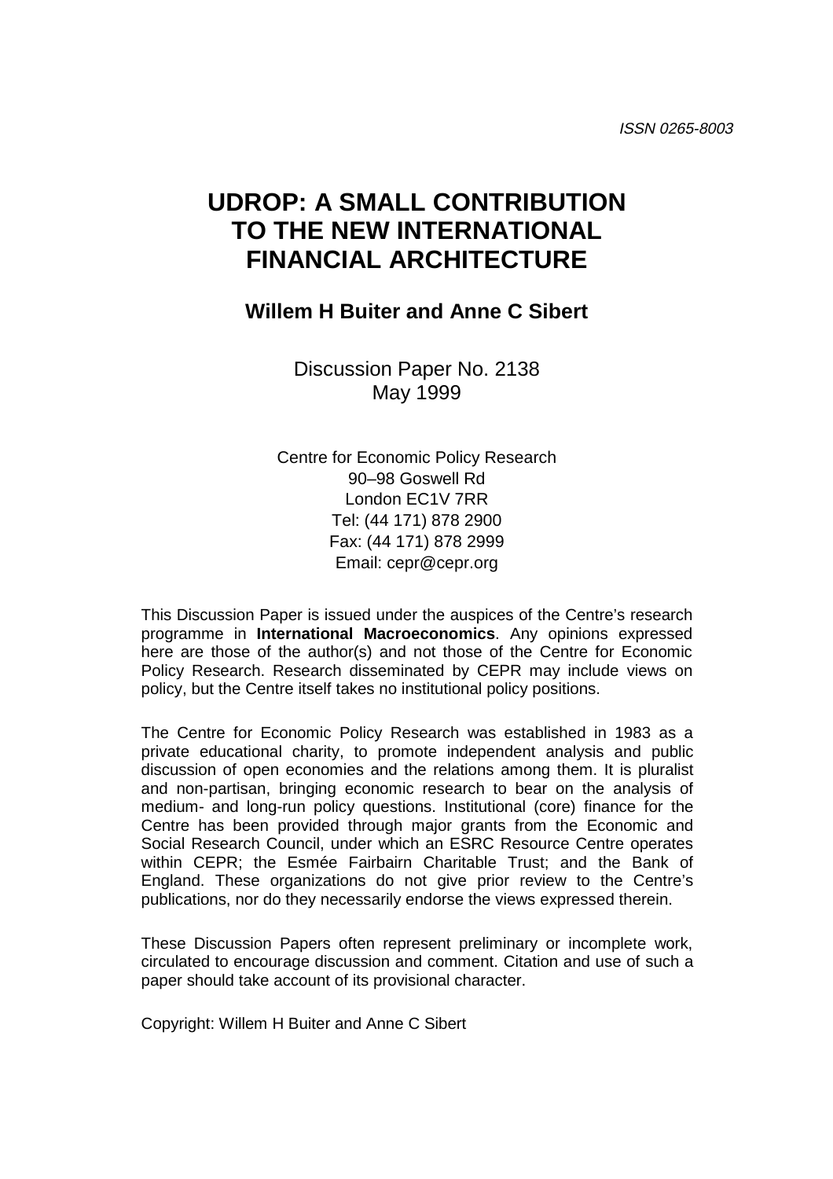# **UDROP: A SMALL CONTRIBUTION TO THE NEW INTERNATIONAL FINANCIAL ARCHITECTURE**

## **Willem H Buiter and Anne C Sibert**

Discussion Paper No. 2138 May 1999

Centre for Economic Policy Research 90–98 Goswell Rd London EC1V 7RR Tel: (44 171) 878 2900 Fax: (44 171) 878 2999 Email: cepr@cepr.org

This Discussion Paper is issued under the auspices of the Centre's research programme in **International Macroeconomics**. Any opinions expressed here are those of the author(s) and not those of the Centre for Economic Policy Research. Research disseminated by CEPR may include views on policy, but the Centre itself takes no institutional policy positions.

The Centre for Economic Policy Research was established in 1983 as a private educational charity, to promote independent analysis and public discussion of open economies and the relations among them. It is pluralist and non-partisan, bringing economic research to bear on the analysis of medium- and long-run policy questions. Institutional (core) finance for the Centre has been provided through major grants from the Economic and Social Research Council, under which an ESRC Resource Centre operates within CEPR; the Esmée Fairbairn Charitable Trust; and the Bank of England. These organizations do not give prior review to the Centre's publications, nor do they necessarily endorse the views expressed therein.

These Discussion Papers often represent preliminary or incomplete work, circulated to encourage discussion and comment. Citation and use of such a paper should take account of its provisional character.

Copyright: Willem H Buiter and Anne C Sibert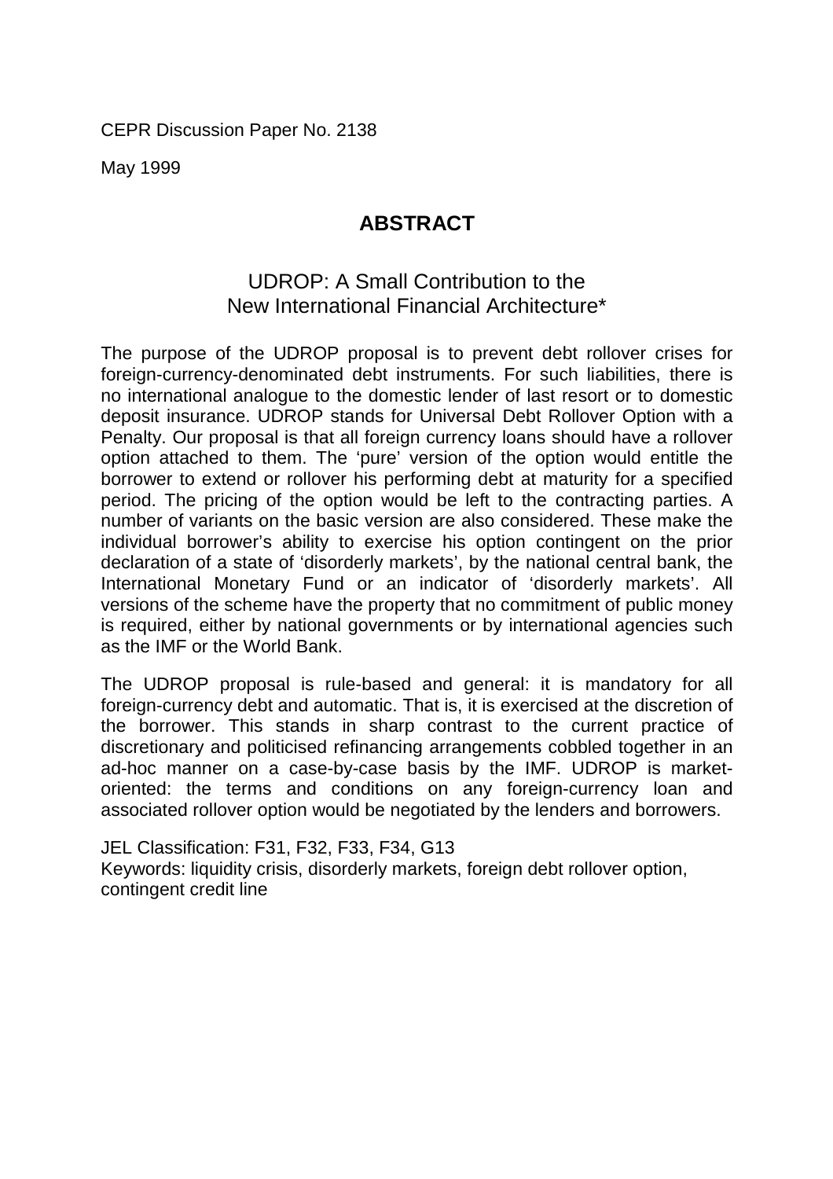CEPR Discussion Paper No. 2138

May 1999

# **ABSTRACT**

# UDROP: A Small Contribution to the New International Financial Architecture\*

The purpose of the UDROP proposal is to prevent debt rollover crises for foreign-currency-denominated debt instruments. For such liabilities, there is no international analogue to the domestic lender of last resort or to domestic deposit insurance. UDROP stands for Universal Debt Rollover Option with a Penalty. Our proposal is that all foreign currency loans should have a rollover option attached to them. The 'pure' version of the option would entitle the borrower to extend or rollover his performing debt at maturity for a specified period. The pricing of the option would be left to the contracting parties. A number of variants on the basic version are also considered. These make the individual borrower's ability to exercise his option contingent on the prior declaration of a state of 'disorderly markets', by the national central bank, the International Monetary Fund or an indicator of 'disorderly markets'. All versions of the scheme have the property that no commitment of public money is required, either by national governments or by international agencies such as the IMF or the World Bank.

The UDROP proposal is rule-based and general: it is mandatory for all foreign-currency debt and automatic. That is, it is exercised at the discretion of the borrower. This stands in sharp contrast to the current practice of discretionary and politicised refinancing arrangements cobbled together in an ad-hoc manner on a case-by-case basis by the IMF. UDROP is marketoriented: the terms and conditions on any foreign-currency loan and associated rollover option would be negotiated by the lenders and borrowers.

JEL Classification: F31, F32, F33, F34, G13 Keywords: liquidity crisis, disorderly markets, foreign debt rollover option, contingent credit line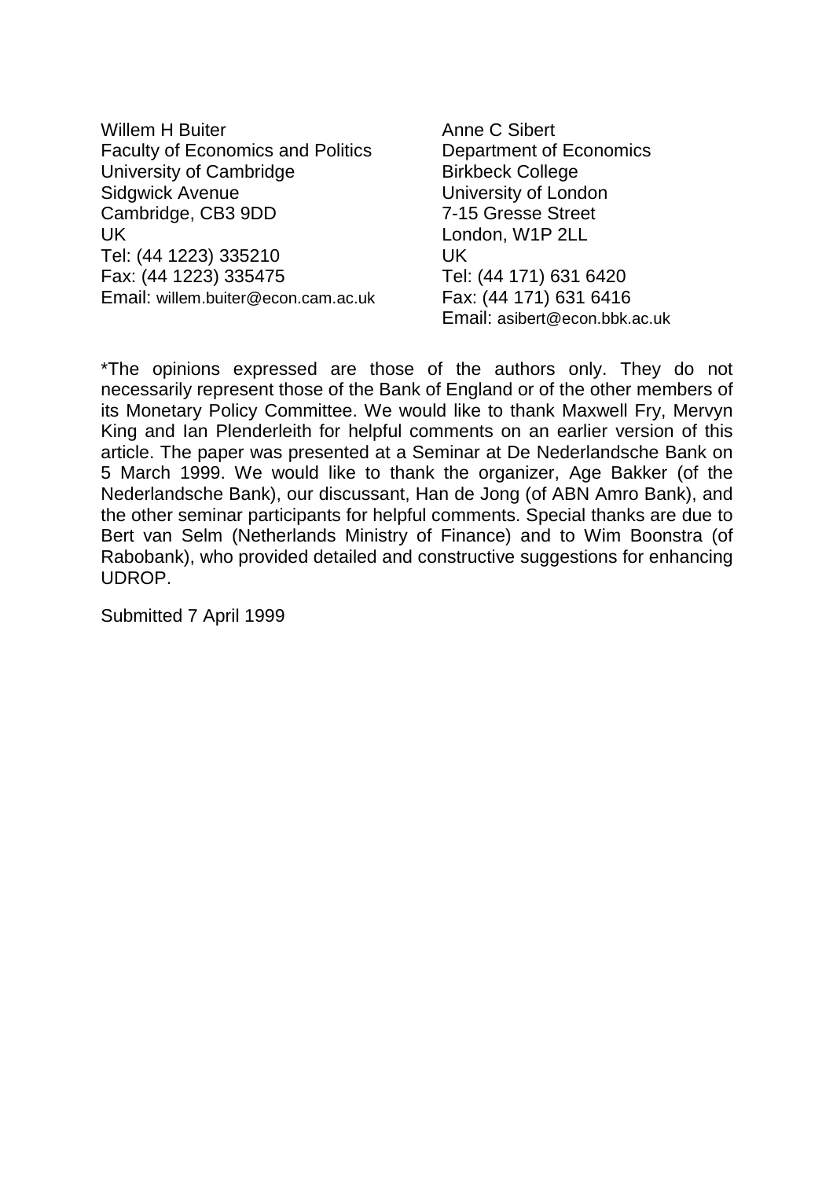| Willem H Buiter                          |
|------------------------------------------|
| <b>Faculty of Economics and Politics</b> |
| University of Cambridge                  |
| <b>Sidgwick Avenue</b>                   |
| Cambridge, CB3 9DD                       |
| UK                                       |
| Tel: (44 1223) 335210                    |
| Fax: (44 1223) 335475                    |
| Email: willem.buiter@econ.cam.ac.uk      |
|                                          |

Anne C Sibert Department of Economics Birkbeck College University of London 7-15 Gresse Street London, W1P 2LL UK Tel: (44 171) 631 6420 Fax: (44 171) 631 6416 Email: asibert@econ.bbk.ac.uk

\*The opinions expressed are those of the authors only. They do not necessarily represent those of the Bank of England or of the other members of its Monetary Policy Committee. We would like to thank Maxwell Fry, Mervyn King and Ian Plenderleith for helpful comments on an earlier version of this article. The paper was presented at a Seminar at De Nederlandsche Bank on 5 March 1999. We would like to thank the organizer, Age Bakker (of the Nederlandsche Bank), our discussant, Han de Jong (of ABN Amro Bank), and the other seminar participants for helpful comments. Special thanks are due to Bert van Selm (Netherlands Ministry of Finance) and to Wim Boonstra (of Rabobank), who provided detailed and constructive suggestions for enhancing UDROP.

Submitted 7 April 1999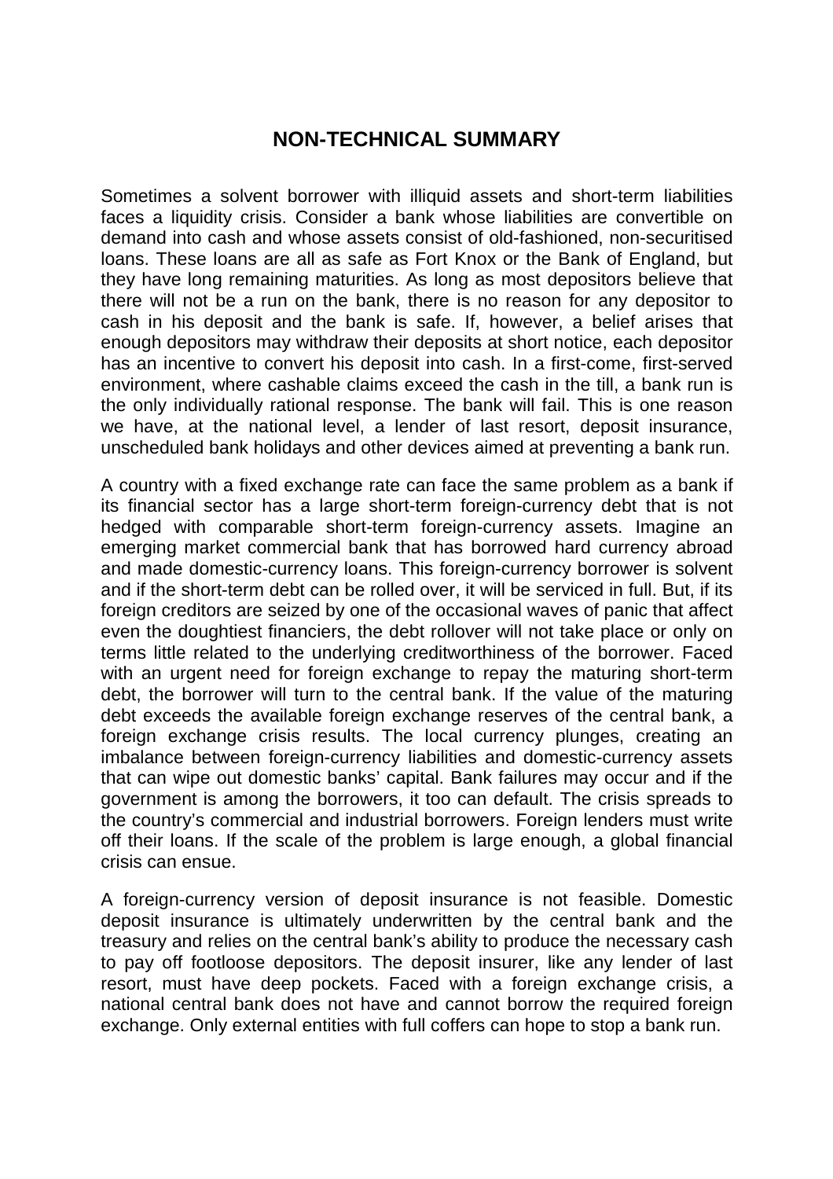# **NON-TECHNICAL SUMMARY**

Sometimes a solvent borrower with illiquid assets and short-term liabilities faces a liquidity crisis. Consider a bank whose liabilities are convertible on demand into cash and whose assets consist of old-fashioned, non-securitised loans. These loans are all as safe as Fort Knox or the Bank of England, but they have long remaining maturities. As long as most depositors believe that there will not be a run on the bank, there is no reason for any depositor to cash in his deposit and the bank is safe. If, however, a belief arises that enough depositors may withdraw their deposits at short notice, each depositor has an incentive to convert his deposit into cash. In a first-come, first-served environment, where cashable claims exceed the cash in the till, a bank run is the only individually rational response. The bank will fail. This is one reason we have, at the national level, a lender of last resort, deposit insurance, unscheduled bank holidays and other devices aimed at preventing a bank run.

A country with a fixed exchange rate can face the same problem as a bank if its financial sector has a large short-term foreign-currency debt that is not hedged with comparable short-term foreign-currency assets. Imagine an emerging market commercial bank that has borrowed hard currency abroad and made domestic-currency loans. This foreign-currency borrower is solvent and if the short-term debt can be rolled over, it will be serviced in full. But, if its foreign creditors are seized by one of the occasional waves of panic that affect even the doughtiest financiers, the debt rollover will not take place or only on terms little related to the underlying creditworthiness of the borrower. Faced with an urgent need for foreign exchange to repay the maturing short-term debt, the borrower will turn to the central bank. If the value of the maturing debt exceeds the available foreign exchange reserves of the central bank, a foreign exchange crisis results. The local currency plunges, creating an imbalance between foreign-currency liabilities and domestic-currency assets that can wipe out domestic banks' capital. Bank failures may occur and if the government is among the borrowers, it too can default. The crisis spreads to the country's commercial and industrial borrowers. Foreign lenders must write off their loans. If the scale of the problem is large enough, a global financial crisis can ensue.

A foreign-currency version of deposit insurance is not feasible. Domestic deposit insurance is ultimately underwritten by the central bank and the treasury and relies on the central bank's ability to produce the necessary cash to pay off footloose depositors. The deposit insurer, like any lender of last resort, must have deep pockets. Faced with a foreign exchange crisis, a national central bank does not have and cannot borrow the required foreign exchange. Only external entities with full coffers can hope to stop a bank run.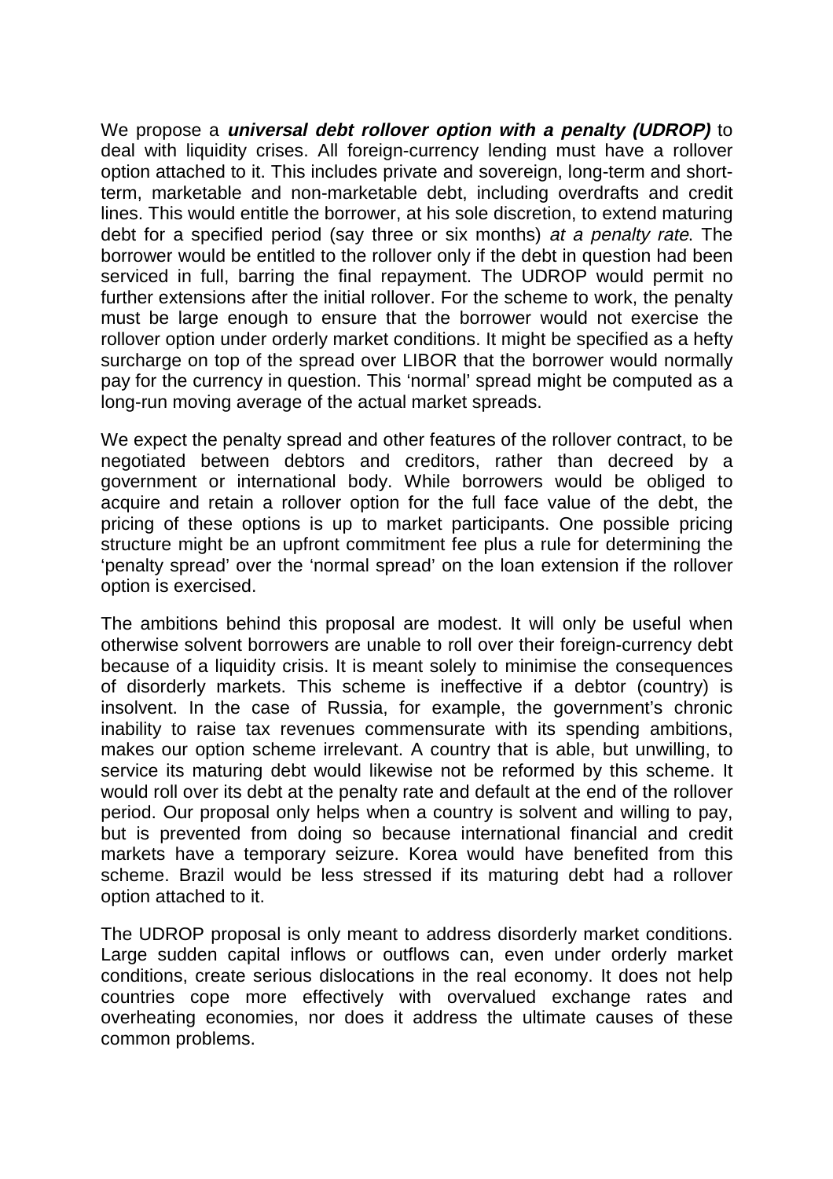We propose a **universal debt rollover option with a penalty (UDROP)** to deal with liquidity crises. All foreign-currency lending must have a rollover option attached to it. This includes private and sovereign, long-term and shortterm, marketable and non-marketable debt, including overdrafts and credit lines. This would entitle the borrower, at his sole discretion, to extend maturing debt for a specified period (say three or six months) at a penalty rate. The borrower would be entitled to the rollover only if the debt in question had been serviced in full, barring the final repayment. The UDROP would permit no further extensions after the initial rollover. For the scheme to work, the penalty must be large enough to ensure that the borrower would not exercise the rollover option under orderly market conditions. It might be specified as a hefty surcharge on top of the spread over LIBOR that the borrower would normally pay for the currency in question. This 'normal' spread might be computed as a long-run moving average of the actual market spreads.

We expect the penalty spread and other features of the rollover contract, to be negotiated between debtors and creditors, rather than decreed by a government or international body. While borrowers would be obliged to acquire and retain a rollover option for the full face value of the debt, the pricing of these options is up to market participants. One possible pricing structure might be an upfront commitment fee plus a rule for determining the 'penalty spread' over the 'normal spread' on the loan extension if the rollover option is exercised.

The ambitions behind this proposal are modest. It will only be useful when otherwise solvent borrowers are unable to roll over their foreign-currency debt because of a liquidity crisis. It is meant solely to minimise the consequences of disorderly markets. This scheme is ineffective if a debtor (country) is insolvent. In the case of Russia, for example, the government's chronic inability to raise tax revenues commensurate with its spending ambitions, makes our option scheme irrelevant. A country that is able, but unwilling, to service its maturing debt would likewise not be reformed by this scheme. It would roll over its debt at the penalty rate and default at the end of the rollover period. Our proposal only helps when a country is solvent and willing to pay, but is prevented from doing so because international financial and credit markets have a temporary seizure. Korea would have benefited from this scheme. Brazil would be less stressed if its maturing debt had a rollover option attached to it.

The UDROP proposal is only meant to address disorderly market conditions. Large sudden capital inflows or outflows can, even under orderly market conditions, create serious dislocations in the real economy. It does not help countries cope more effectively with overvalued exchange rates and overheating economies, nor does it address the ultimate causes of these common problems.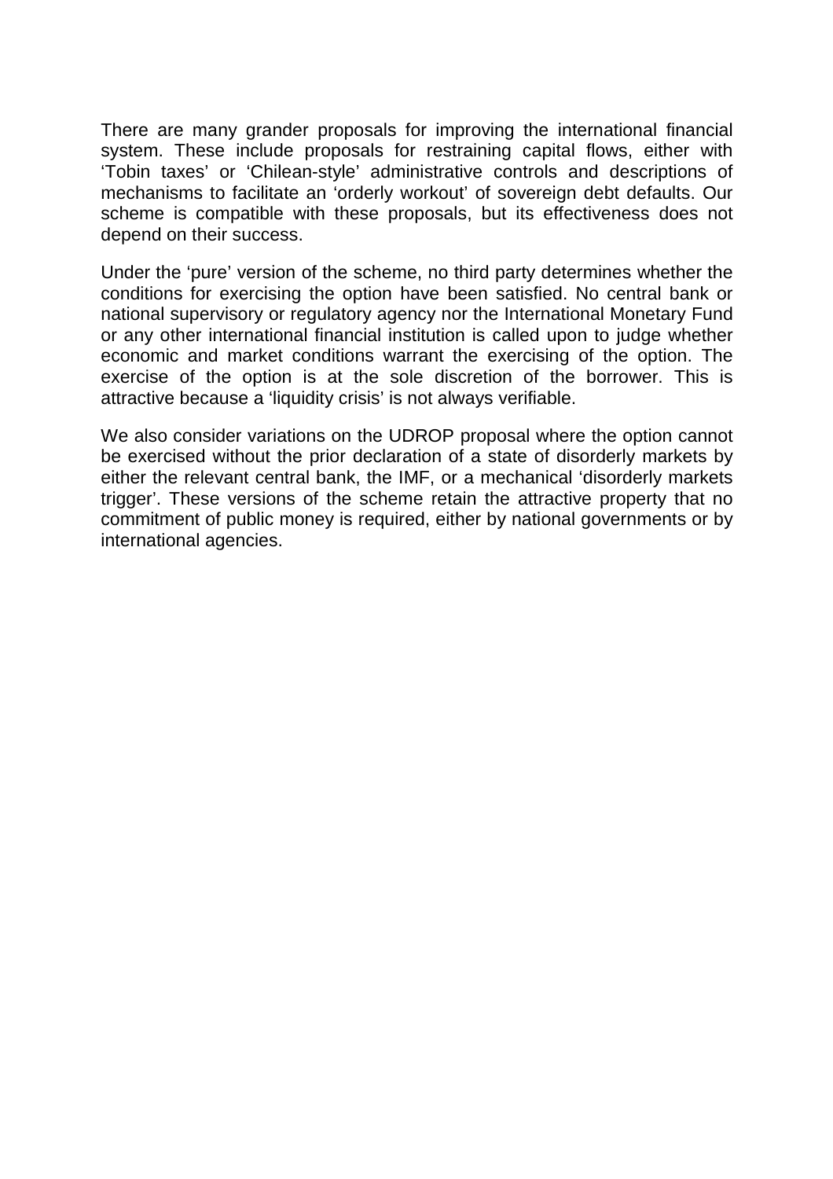There are many grander proposals for improving the international financial system. These include proposals for restraining capital flows, either with 'Tobin taxes' or 'Chilean-style' administrative controls and descriptions of mechanisms to facilitate an 'orderly workout' of sovereign debt defaults. Our scheme is compatible with these proposals, but its effectiveness does not depend on their success.

Under the 'pure' version of the scheme, no third party determines whether the conditions for exercising the option have been satisfied. No central bank or national supervisory or regulatory agency nor the International Monetary Fund or any other international financial institution is called upon to judge whether economic and market conditions warrant the exercising of the option. The exercise of the option is at the sole discretion of the borrower. This is attractive because a 'liquidity crisis' is not always verifiable.

We also consider variations on the UDROP proposal where the option cannot be exercised without the prior declaration of a state of disorderly markets by either the relevant central bank, the IMF, or a mechanical 'disorderly markets trigger'. These versions of the scheme retain the attractive property that no commitment of public money is required, either by national governments or by international agencies.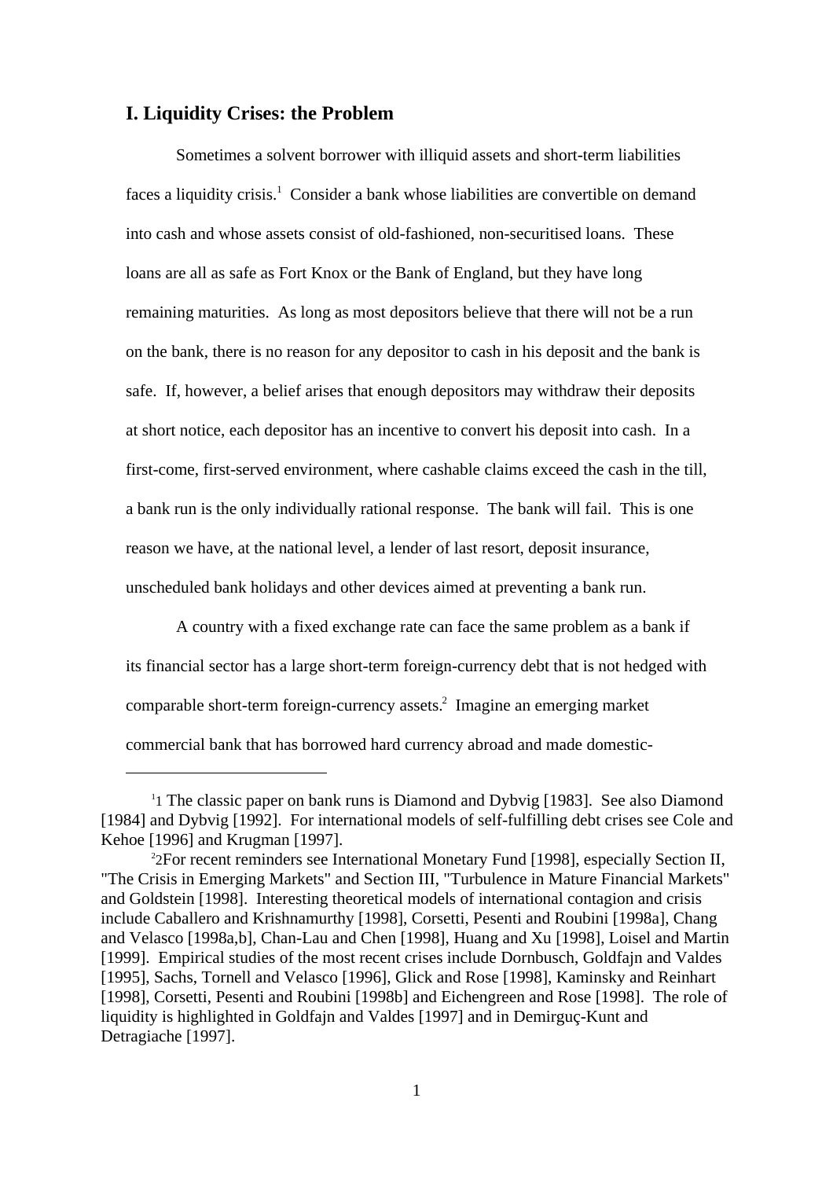#### **I. Liquidity Crises: the Problem**

Sometimes a solvent borrower with illiquid assets and short-term liabilities faces a liquidity crisis.<sup>1</sup> Consider a bank whose liabilities are convertible on demand into cash and whose assets consist of old-fashioned, non-securitised loans. These loans are all as safe as Fort Knox or the Bank of England, but they have long remaining maturities. As long as most depositors believe that there will not be a run on the bank, there is no reason for any depositor to cash in his deposit and the bank is safe. If, however, a belief arises that enough depositors may withdraw their deposits at short notice, each depositor has an incentive to convert his deposit into cash. In a first-come, first-served environment, where cashable claims exceed the cash in the till, a bank run is the only individually rational response. The bank will fail. This is one reason we have, at the national level, a lender of last resort, deposit insurance, unscheduled bank holidays and other devices aimed at preventing a bank run.

A country with a fixed exchange rate can face the same problem as a bank if its financial sector has a large short-term foreign-currency debt that is not hedged with comparable short-term foreign-currency assets.<sup>2</sup> Imagine an emerging market commercial bank that has borrowed hard currency abroad and made domestic-

<sup>&</sup>lt;sup>1</sup>1 The classic paper on bank runs is Diamond and Dybvig [1983]. See also Diamond [1984] and Dybyig [1992]. For international models of self-fulfilling debt crises see Cole and Kehoe [1996] and Krugman [1997].

<sup>2</sup> 2For recent reminders see International Monetary Fund [1998], especially Section II, "The Crisis in Emerging Markets" and Section III, "Turbulence in Mature Financial Markets" and Goldstein [1998]. Interesting theoretical models of international contagion and crisis include Caballero and Krishnamurthy [1998], Corsetti, Pesenti and Roubini [1998a], Chang and Velasco [1998a,b], Chan-Lau and Chen [1998], Huang and Xu [1998], Loisel and Martin [1999]. Empirical studies of the most recent crises include Dornbusch, Goldfajn and Valdes [1995], Sachs, Tornell and Velasco [1996], Glick and Rose [1998], Kaminsky and Reinhart [1998], Corsetti, Pesenti and Roubini [1998b] and Eichengreen and Rose [1998]. The role of liquidity is highlighted in Goldfajn and Valdes [1997] and in Demirguç-Kunt and Detragiache [1997].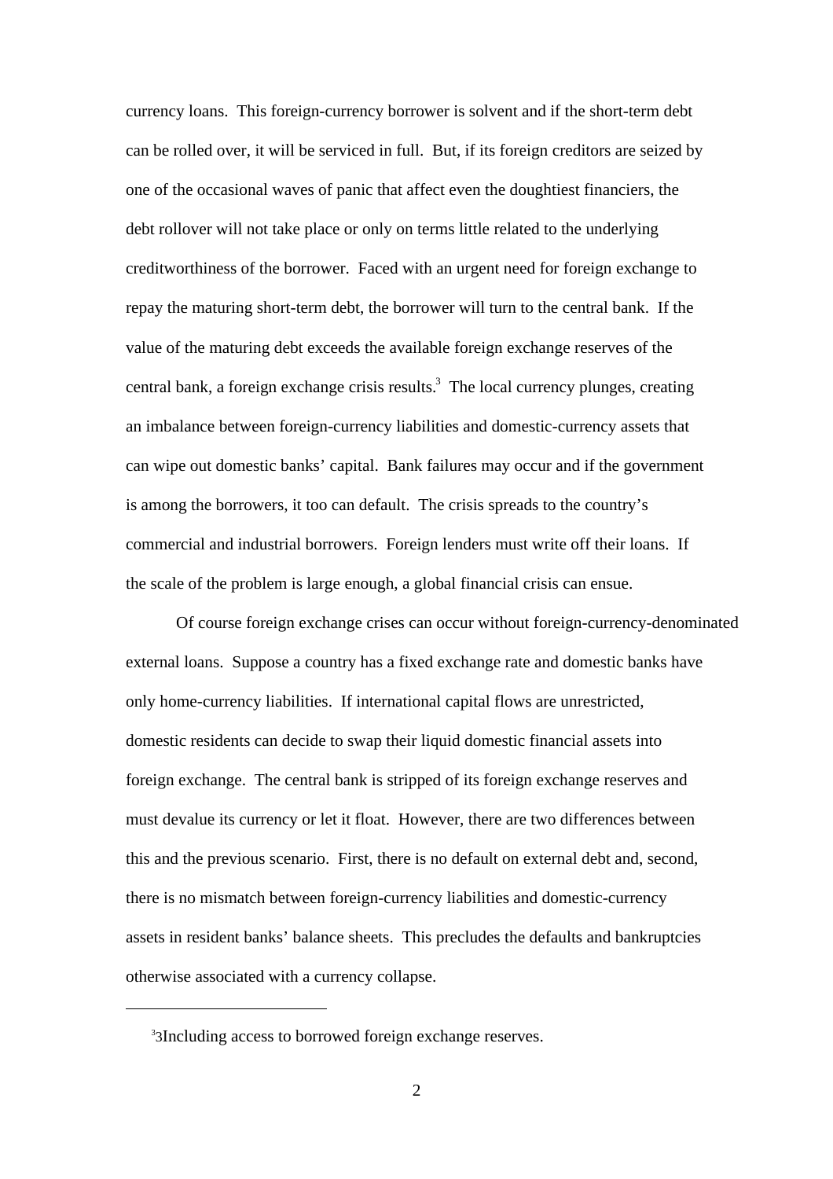currency loans. This foreign-currency borrower is solvent and if the short-term debt can be rolled over, it will be serviced in full. But, if its foreign creditors are seized by one of the occasional waves of panic that affect even the doughtiest financiers, the debt rollover will not take place or only on terms little related to the underlying creditworthiness of the borrower. Faced with an urgent need for foreign exchange to repay the maturing short-term debt, the borrower will turn to the central bank. If the value of the maturing debt exceeds the available foreign exchange reserves of the central bank, a foreign exchange crisis results.<sup>3</sup> The local currency plunges, creating an imbalance between foreign-currency liabilities and domestic-currency assets that can wipe out domestic banks' capital. Bank failures may occur and if the government is among the borrowers, it too can default. The crisis spreads to the country's commercial and industrial borrowers. Foreign lenders must write off their loans. If the scale of the problem is large enough, a global financial crisis can ensue.

Of course foreign exchange crises can occur without foreign-currency-denominated external loans. Suppose a country has a fixed exchange rate and domestic banks have only home-currency liabilities. If international capital flows are unrestricted, domestic residents can decide to swap their liquid domestic financial assets into foreign exchange. The central bank is stripped of its foreign exchange reserves and must devalue its currency or let it float. However, there are two differences between this and the previous scenario. First, there is no default on external debt and, second, there is no mismatch between foreign-currency liabilities and domestic-currency assets in resident banks' balance sheets. This precludes the defaults and bankruptcies otherwise associated with a currency collapse.

<sup>3</sup> 3Including access to borrowed foreign exchange reserves.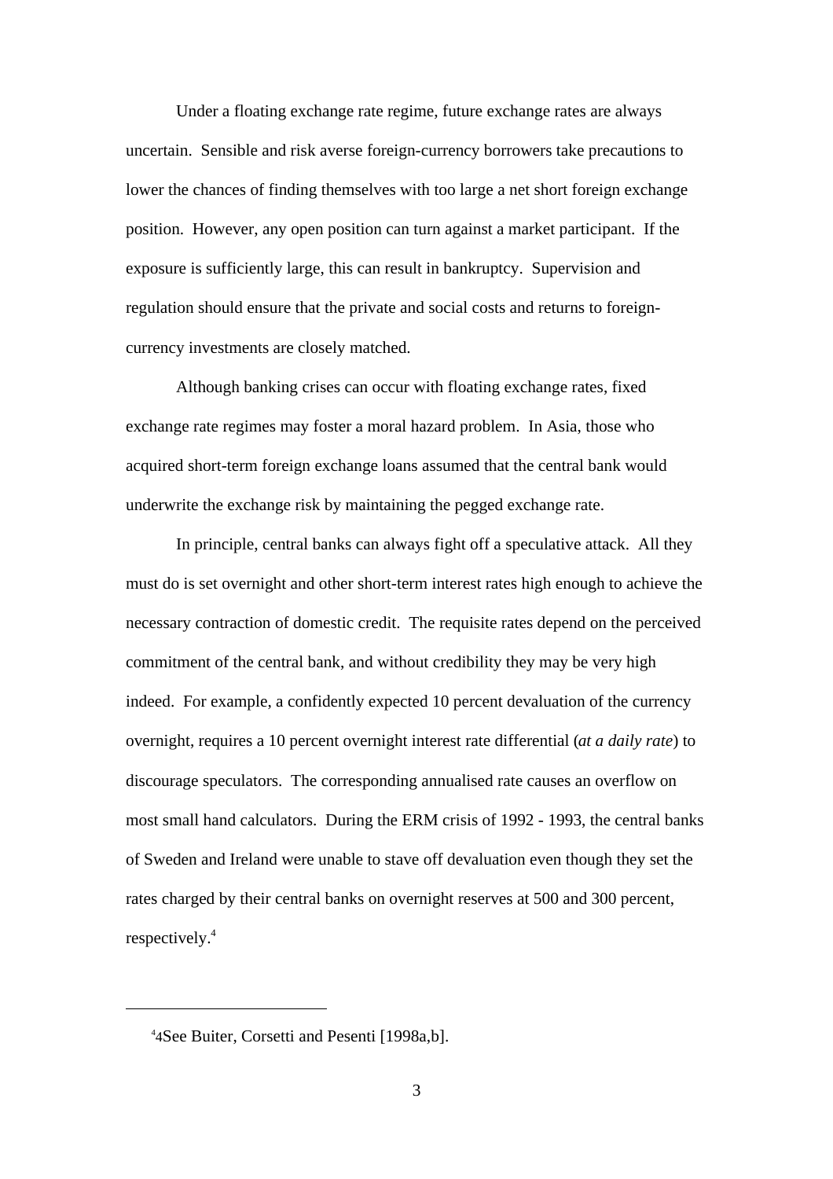Under a floating exchange rate regime, future exchange rates are always uncertain. Sensible and risk averse foreign-currency borrowers take precautions to lower the chances of finding themselves with too large a net short foreign exchange position. However, any open position can turn against a market participant. If the exposure is sufficiently large, this can result in bankruptcy. Supervision and regulation should ensure that the private and social costs and returns to foreigncurrency investments are closely matched.

Although banking crises can occur with floating exchange rates, fixed exchange rate regimes may foster a moral hazard problem. In Asia, those who acquired short-term foreign exchange loans assumed that the central bank would underwrite the exchange risk by maintaining the pegged exchange rate.

In principle, central banks can always fight off a speculative attack. All they must do is set overnight and other short-term interest rates high enough to achieve the necessary contraction of domestic credit. The requisite rates depend on the perceived commitment of the central bank, and without credibility they may be very high indeed. For example, a confidently expected 10 percent devaluation of the currency overnight, requires a 10 percent overnight interest rate differential (*at a daily rate*) to discourage speculators. The corresponding annualised rate causes an overflow on most small hand calculators. During the ERM crisis of 1992 - 1993, the central banks of Sweden and Ireland were unable to stave off devaluation even though they set the rates charged by their central banks on overnight reserves at 500 and 300 percent, respectively.4

<sup>4</sup> 4See Buiter, Corsetti and Pesenti [1998a,b].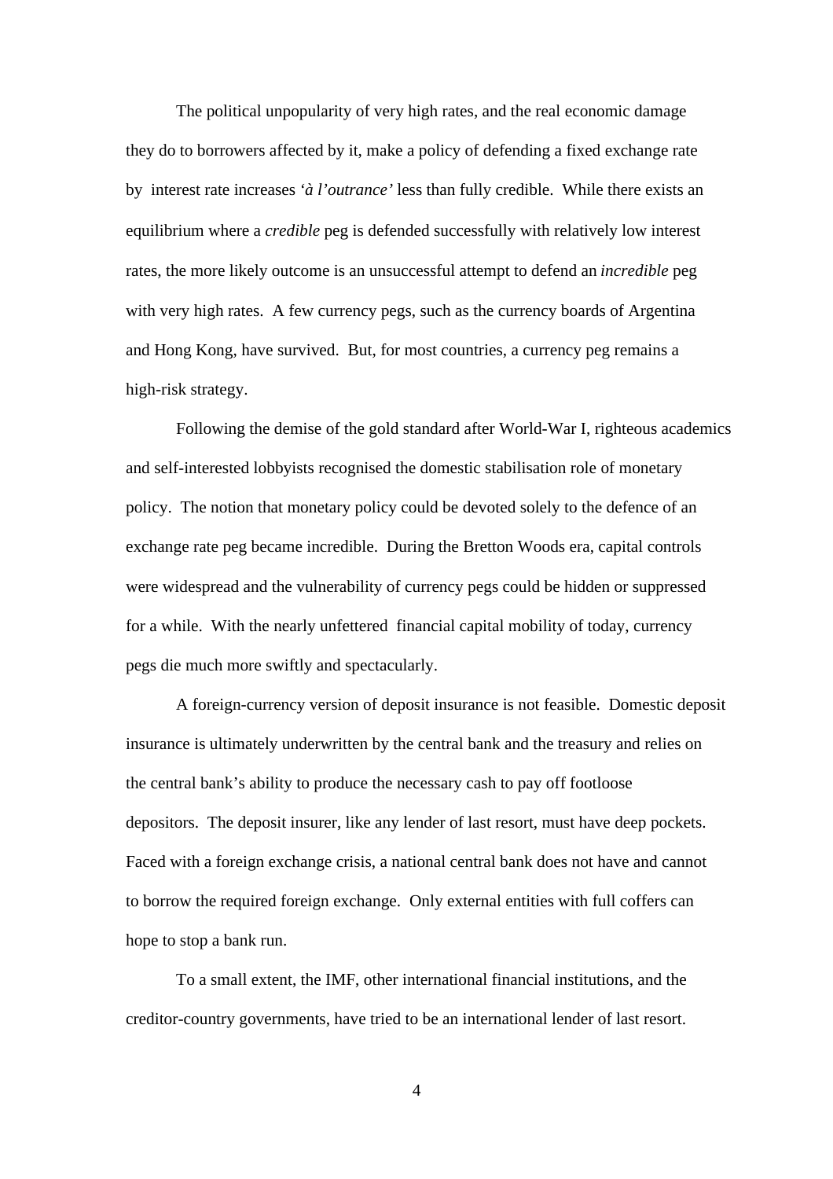The political unpopularity of very high rates, and the real economic damage they do to borrowers affected by it, make a policy of defending a fixed exchange rate by interest rate increases *'à l'outrance'* less than fully credible. While there exists an equilibrium where a *credible* peg is defended successfully with relatively low interest rates, the more likely outcome is an unsuccessful attempt to defend an *incredible* peg with very high rates. A few currency pegs, such as the currency boards of Argentina and Hong Kong, have survived. But, for most countries, a currency peg remains a high-risk strategy.

Following the demise of the gold standard after World-War I, righteous academics and self-interested lobbyists recognised the domestic stabilisation role of monetary policy. The notion that monetary policy could be devoted solely to the defence of an exchange rate peg became incredible. During the Bretton Woods era, capital controls were widespread and the vulnerability of currency pegs could be hidden or suppressed for a while. With the nearly unfettered financial capital mobility of today, currency pegs die much more swiftly and spectacularly.

A foreign-currency version of deposit insurance is not feasible. Domestic deposit insurance is ultimately underwritten by the central bank and the treasury and relies on the central bank's ability to produce the necessary cash to pay off footloose depositors. The deposit insurer, like any lender of last resort, must have deep pockets. Faced with a foreign exchange crisis, a national central bank does not have and cannot to borrow the required foreign exchange. Only external entities with full coffers can hope to stop a bank run.

 To a small extent, the IMF, other international financial institutions, and the creditor-country governments, have tried to be an international lender of last resort.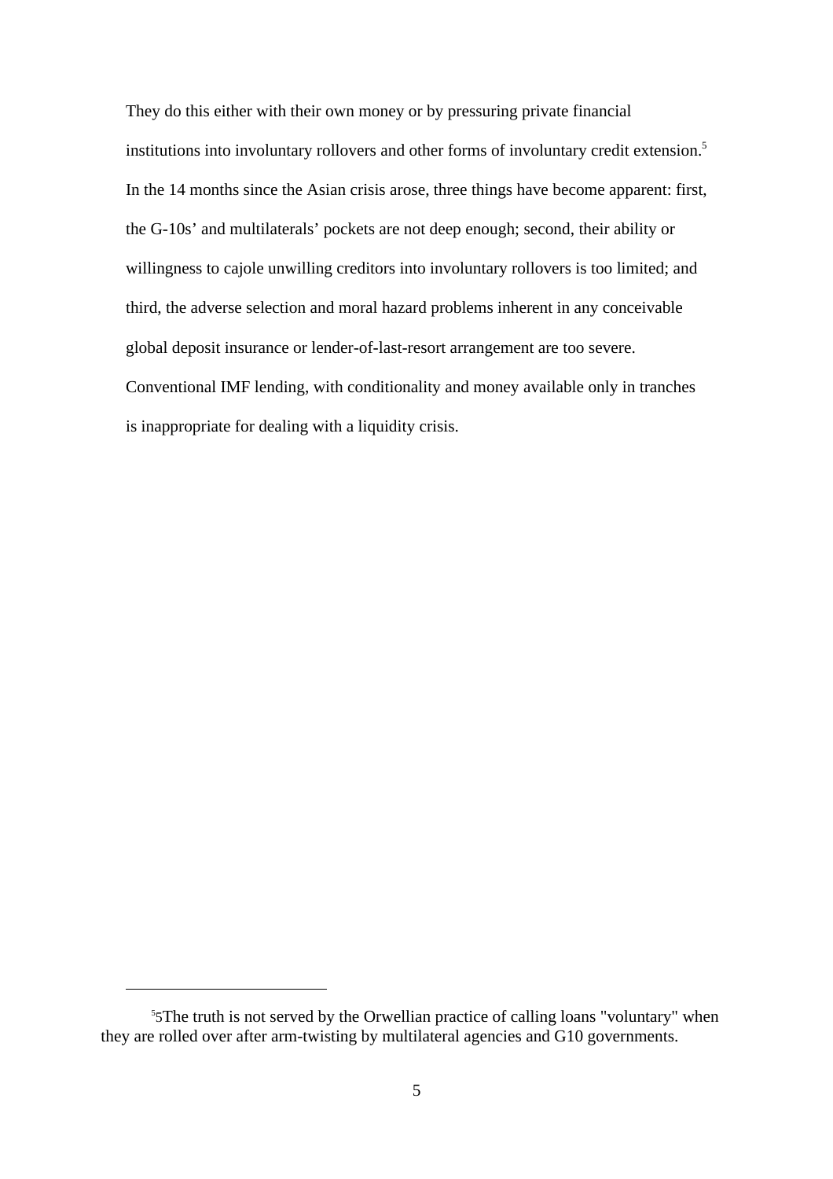They do this either with their own money or by pressuring private financial institutions into involuntary rollovers and other forms of involuntary credit extension.<sup>5</sup> In the 14 months since the Asian crisis arose, three things have become apparent: first, the G-10s' and multilaterals' pockets are not deep enough; second, their ability or willingness to cajole unwilling creditors into involuntary rollovers is too limited; and third, the adverse selection and moral hazard problems inherent in any conceivable global deposit insurance or lender-of-last-resort arrangement are too severe. Conventional IMF lending, with conditionality and money available only in tranches is inappropriate for dealing with a liquidity crisis.

<sup>5</sup> 5The truth is not served by the Orwellian practice of calling loans "voluntary" when they are rolled over after arm-twisting by multilateral agencies and G10 governments.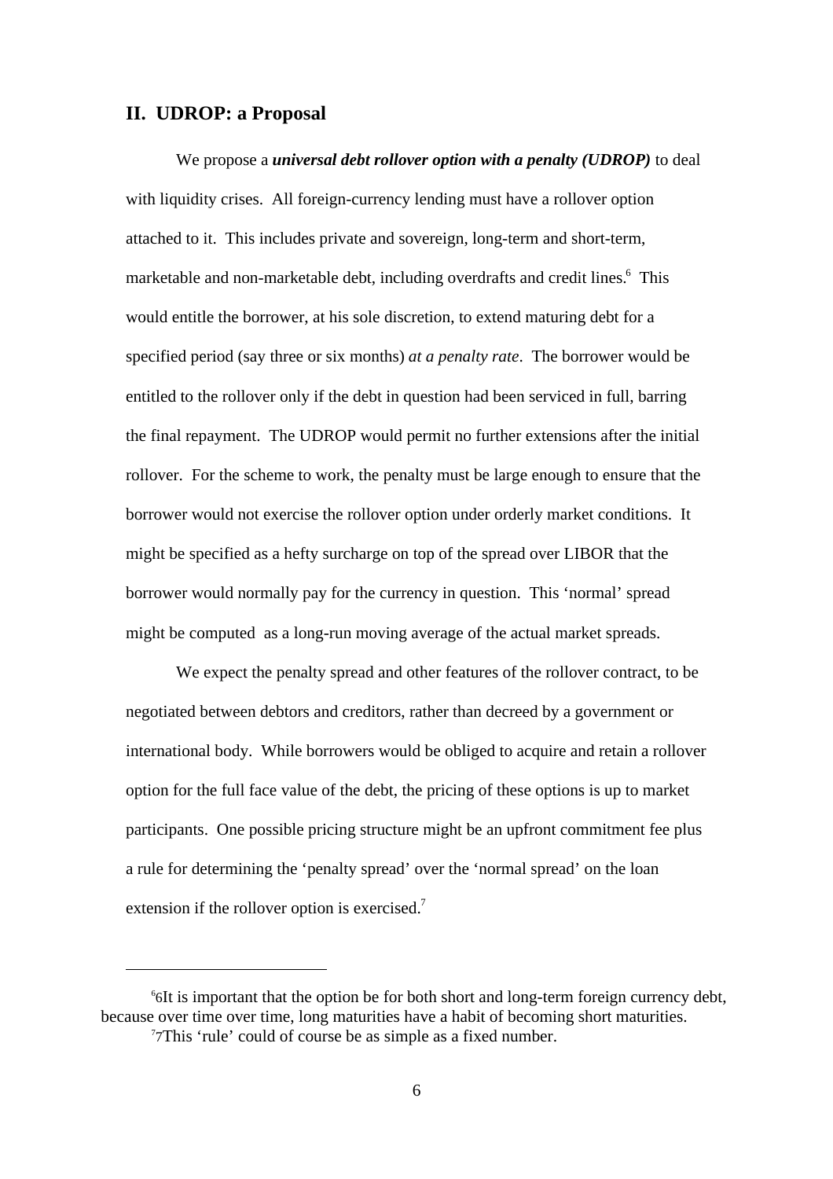#### **II. UDROP: a Proposal**

We propose a *universal debt rollover option with a penalty (UDROP)* to deal with liquidity crises. All foreign-currency lending must have a rollover option attached to it. This includes private and sovereign, long-term and short-term, marketable and non-marketable debt, including overdrafts and credit lines.<sup>6</sup> This would entitle the borrower, at his sole discretion, to extend maturing debt for a specified period (say three or six months) *at a penalty rate*. The borrower would be entitled to the rollover only if the debt in question had been serviced in full, barring the final repayment. The UDROP would permit no further extensions after the initial rollover. For the scheme to work, the penalty must be large enough to ensure that the borrower would not exercise the rollover option under orderly market conditions. It might be specified as a hefty surcharge on top of the spread over LIBOR that the borrower would normally pay for the currency in question. This 'normal' spread might be computed as a long-run moving average of the actual market spreads.

We expect the penalty spread and other features of the rollover contract, to be negotiated between debtors and creditors, rather than decreed by a government or international body. While borrowers would be obliged to acquire and retain a rollover option for the full face value of the debt, the pricing of these options is up to market participants. One possible pricing structure might be an upfront commitment fee plus a rule for determining the 'penalty spread' over the 'normal spread' on the loan extension if the rollover option is exercised.<sup>7</sup>

<sup>6</sup> 6It is important that the option be for both short and long-term foreign currency debt, because over time over time, long maturities have a habit of becoming short maturities.

<sup>7</sup> 7This 'rule' could of course be as simple as a fixed number.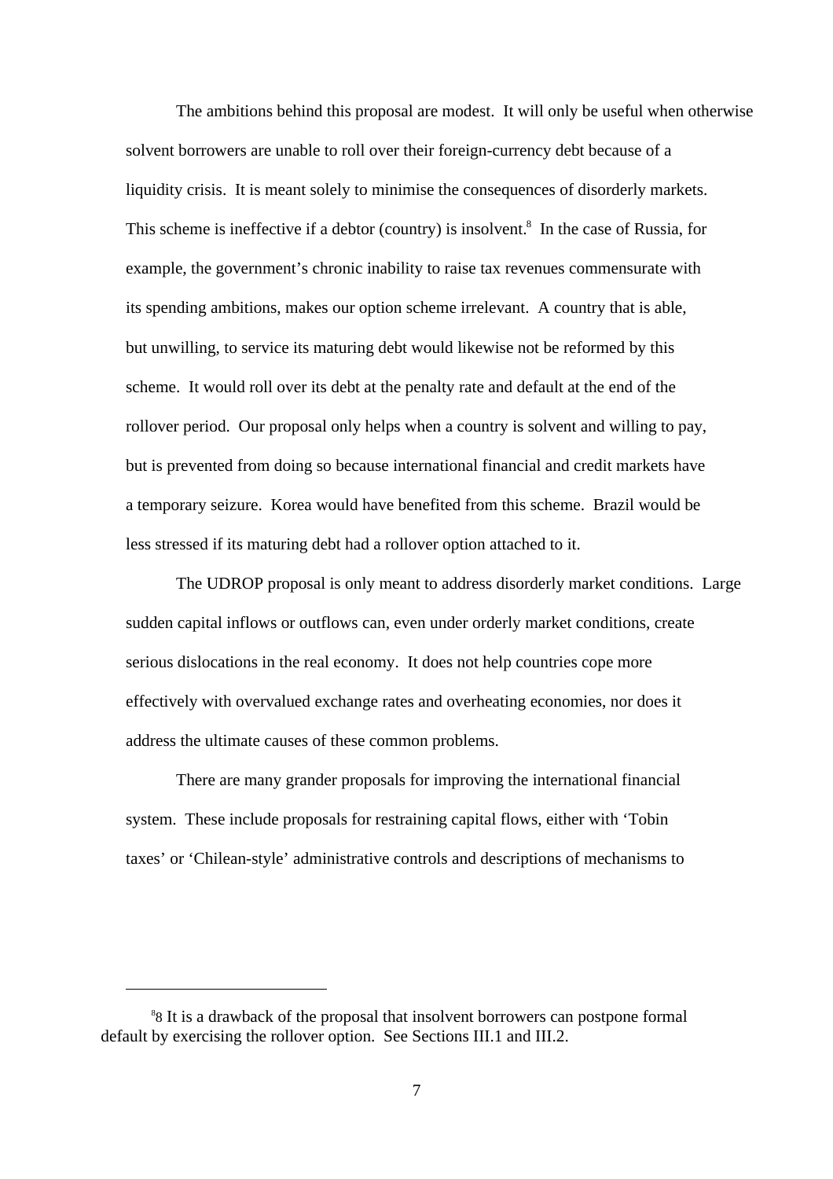The ambitions behind this proposal are modest. It will only be useful when otherwise solvent borrowers are unable to roll over their foreign-currency debt because of a liquidity crisis. It is meant solely to minimise the consequences of disorderly markets. This scheme is ineffective if a debtor (country) is insolvent.<sup>8</sup> In the case of Russia, for example, the government's chronic inability to raise tax revenues commensurate with its spending ambitions, makes our option scheme irrelevant. A country that is able, but unwilling, to service its maturing debt would likewise not be reformed by this scheme. It would roll over its debt at the penalty rate and default at the end of the rollover period. Our proposal only helps when a country is solvent and willing to pay, but is prevented from doing so because international financial and credit markets have a temporary seizure. Korea would have benefited from this scheme. Brazil would be less stressed if its maturing debt had a rollover option attached to it.

The UDROP proposal is only meant to address disorderly market conditions. Large sudden capital inflows or outflows can, even under orderly market conditions, create serious dislocations in the real economy. It does not help countries cope more effectively with overvalued exchange rates and overheating economies, nor does it address the ultimate causes of these common problems.

There are many grander proposals for improving the international financial system. These include proposals for restraining capital flows, either with 'Tobin taxes' or 'Chilean-style' administrative controls and descriptions of mechanisms to

<sup>8</sup> 8 It is a drawback of the proposal that insolvent borrowers can postpone formal default by exercising the rollover option. See Sections III.1 and III.2.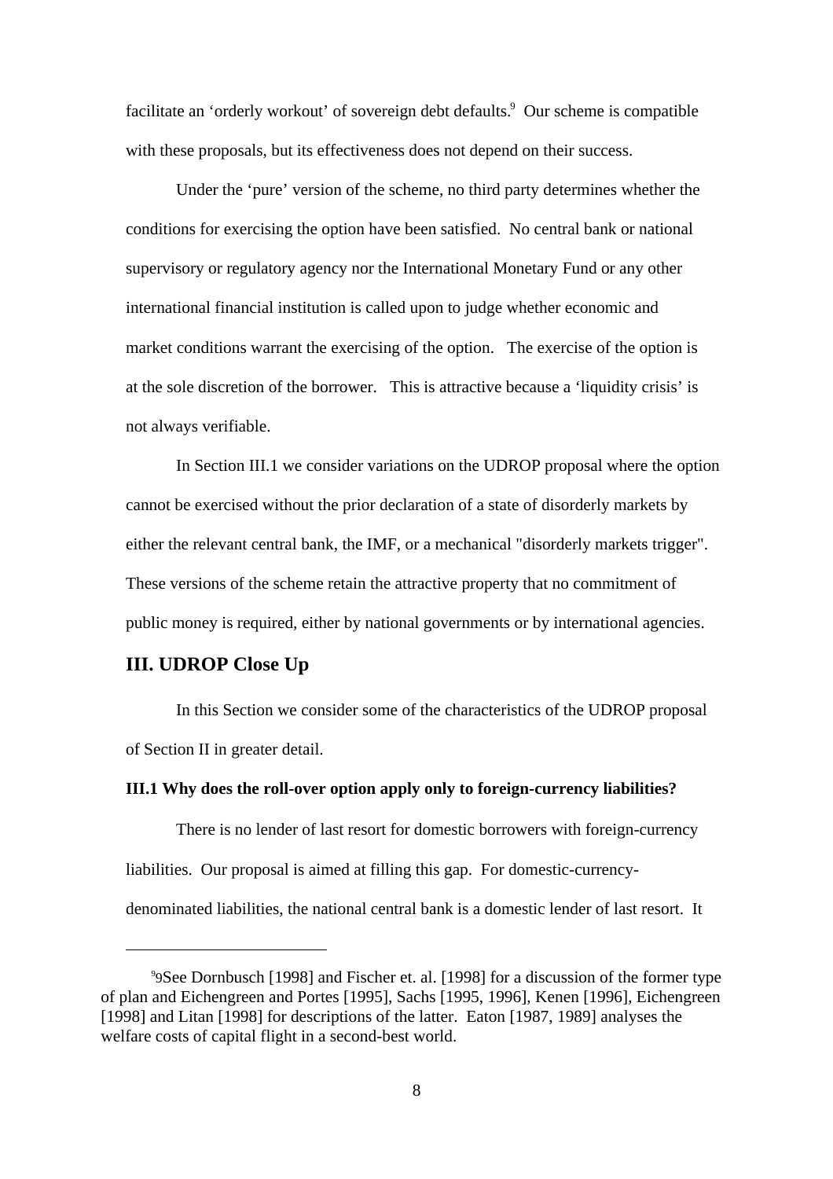facilitate an 'orderly workout' of sovereign debt defaults.<sup>9</sup> Our scheme is compatible with these proposals, but its effectiveness does not depend on their success.

Under the 'pure' version of the scheme, no third party determines whether the conditions for exercising the option have been satisfied. No central bank or national supervisory or regulatory agency nor the International Monetary Fund or any other international financial institution is called upon to judge whether economic and market conditions warrant the exercising of the option. The exercise of the option is at the sole discretion of the borrower. This is attractive because a 'liquidity crisis' is not always verifiable.

In Section III.1 we consider variations on the UDROP proposal where the option cannot be exercised without the prior declaration of a state of disorderly markets by either the relevant central bank, the IMF, or a mechanical "disorderly markets trigger". These versions of the scheme retain the attractive property that no commitment of public money is required, either by national governments or by international agencies.

#### **III. UDROP Close Up**

In this Section we consider some of the characteristics of the UDROP proposal of Section II in greater detail.

#### **III.1 Why does the roll-over option apply only to foreign-currency liabilities?**

There is no lender of last resort for domestic borrowers with foreign-currency liabilities. Our proposal is aimed at filling this gap. For domestic-currencydenominated liabilities, the national central bank is a domestic lender of last resort. It

<sup>9</sup> 9See Dornbusch [1998] and Fischer et. al. [1998] for a discussion of the former type of plan and Eichengreen and Portes [1995], Sachs [1995, 1996], Kenen [1996], Eichengreen [1998] and Litan [1998] for descriptions of the latter. Eaton [1987, 1989] analyses the welfare costs of capital flight in a second-best world.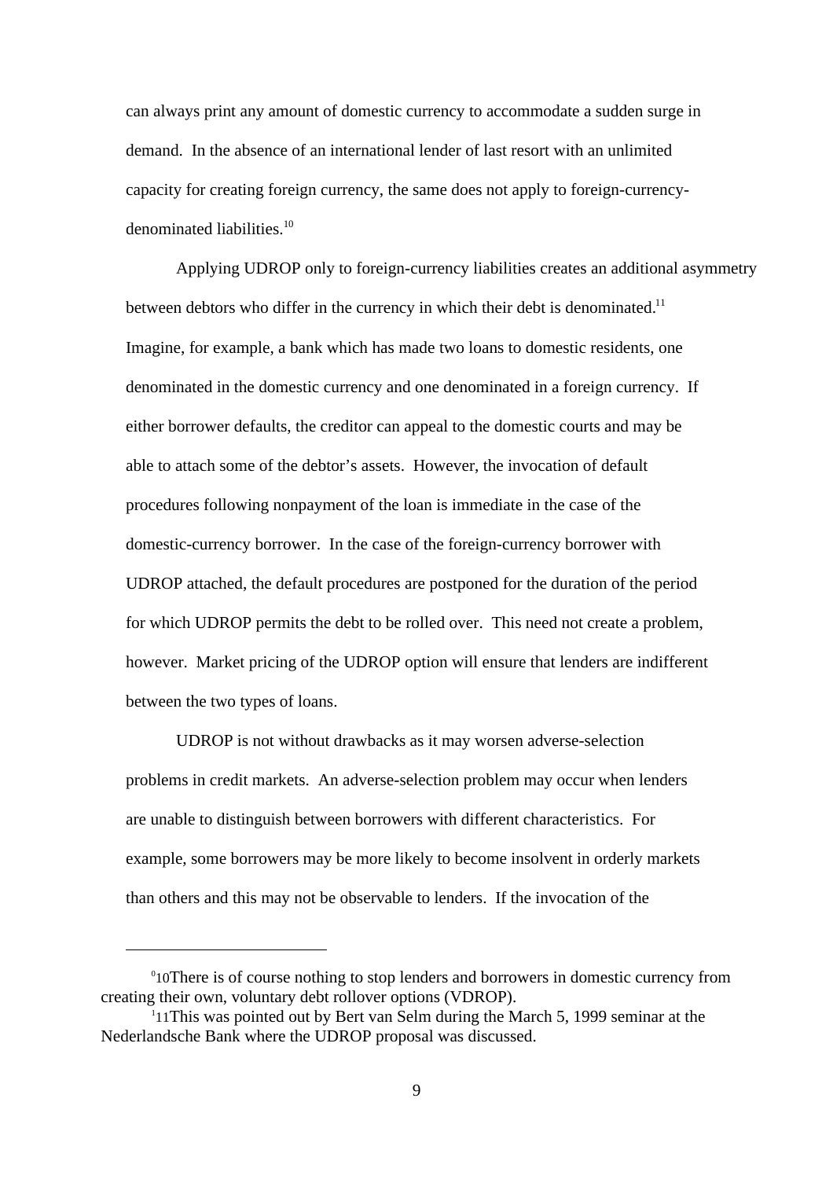can always print any amount of domestic currency to accommodate a sudden surge in demand. In the absence of an international lender of last resort with an unlimited capacity for creating foreign currency, the same does not apply to foreign-currencydenominated liabilities.<sup>10</sup>

Applying UDROP only to foreign-currency liabilities creates an additional asymmetry between debtors who differ in the currency in which their debt is denominated.<sup>11</sup> Imagine, for example, a bank which has made two loans to domestic residents, one denominated in the domestic currency and one denominated in a foreign currency. If either borrower defaults, the creditor can appeal to the domestic courts and may be able to attach some of the debtor's assets. However, the invocation of default procedures following nonpayment of the loan is immediate in the case of the domestic-currency borrower. In the case of the foreign-currency borrower with UDROP attached, the default procedures are postponed for the duration of the period for which UDROP permits the debt to be rolled over. This need not create a problem, however. Market pricing of the UDROP option will ensure that lenders are indifferent between the two types of loans.

UDROP is not without drawbacks as it may worsen adverse-selection problems in credit markets. An adverse-selection problem may occur when lenders are unable to distinguish between borrowers with different characteristics. For example, some borrowers may be more likely to become insolvent in orderly markets than others and this may not be observable to lenders. If the invocation of the

<sup>&</sup>lt;sup>0</sup>10There is of course nothing to stop lenders and borrowers in domestic currency from creating their own, voluntary debt rollover options (VDROP). 1

<sup>&</sup>lt;sup>1</sup>11This was pointed out by Bert van Selm during the March 5, 1999 seminar at the Nederlandsche Bank where the UDROP proposal was discussed.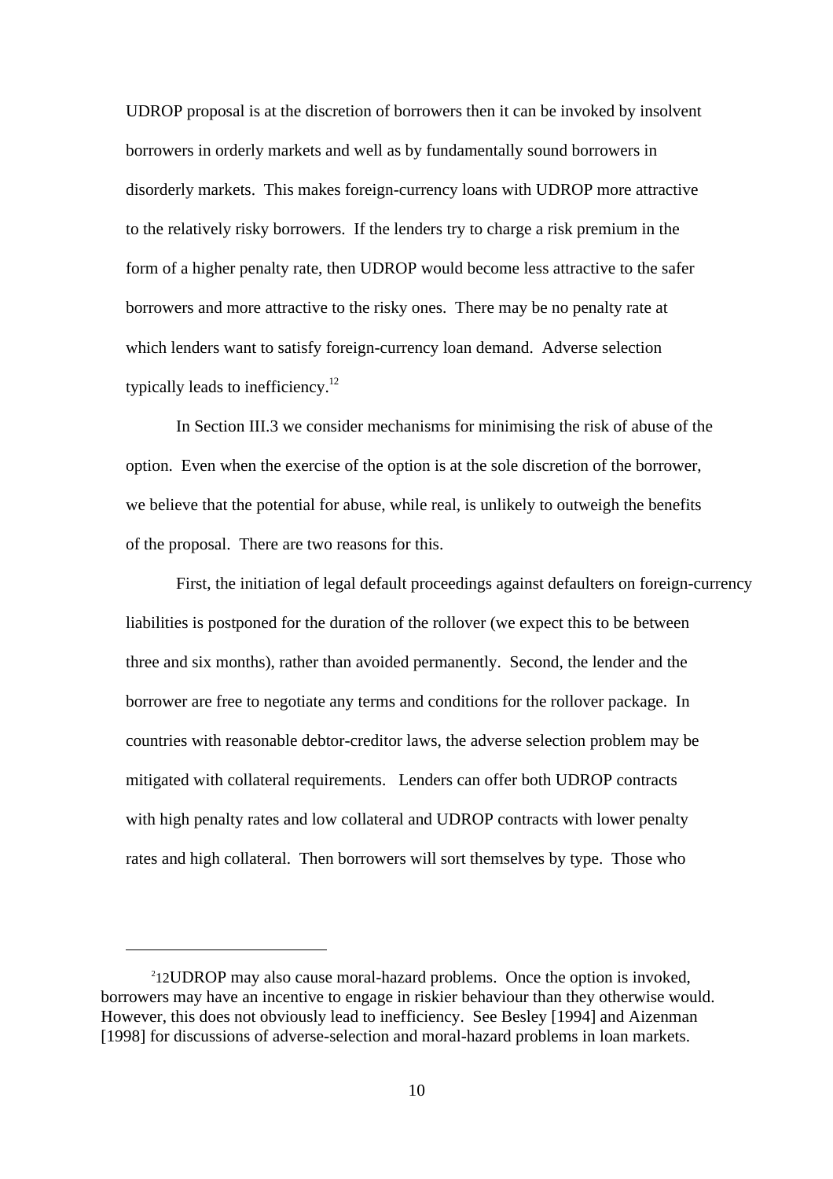UDROP proposal is at the discretion of borrowers then it can be invoked by insolvent borrowers in orderly markets and well as by fundamentally sound borrowers in disorderly markets. This makes foreign-currency loans with UDROP more attractive to the relatively risky borrowers. If the lenders try to charge a risk premium in the form of a higher penalty rate, then UDROP would become less attractive to the safer borrowers and more attractive to the risky ones. There may be no penalty rate at which lenders want to satisfy foreign-currency loan demand. Adverse selection typically leads to inefficiency.<sup>12</sup>

In Section III.3 we consider mechanisms for minimising the risk of abuse of the option. Even when the exercise of the option is at the sole discretion of the borrower, we believe that the potential for abuse, while real, is unlikely to outweigh the benefits of the proposal. There are two reasons for this.

First, the initiation of legal default proceedings against defaulters on foreign-currency liabilities is postponed for the duration of the rollover (we expect this to be between three and six months), rather than avoided permanently. Second, the lender and the borrower are free to negotiate any terms and conditions for the rollover package. In countries with reasonable debtor-creditor laws, the adverse selection problem may be mitigated with collateral requirements. Lenders can offer both UDROP contracts with high penalty rates and low collateral and UDROP contracts with lower penalty rates and high collateral. Then borrowers will sort themselves by type. Those who

<sup>&</sup>lt;sup>2</sup>12UDROP may also cause moral-hazard problems. Once the option is invoked, borrowers may have an incentive to engage in riskier behaviour than they otherwise would. However, this does not obviously lead to inefficiency. See Besley [1994] and Aizenman [1998] for discussions of adverse-selection and moral-hazard problems in loan markets.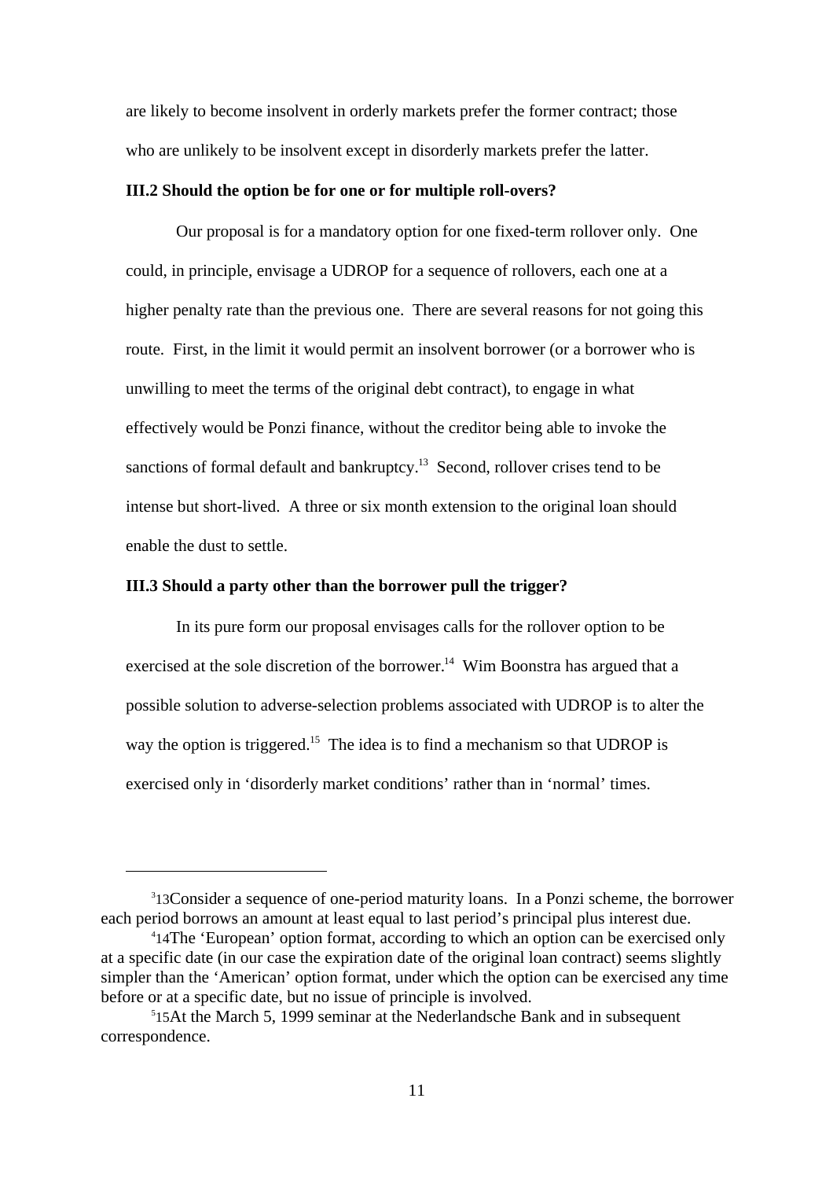are likely to become insolvent in orderly markets prefer the former contract; those who are unlikely to be insolvent except in disorderly markets prefer the latter.

#### **III.2 Should the option be for one or for multiple roll-overs?**

Our proposal is for a mandatory option for one fixed-term rollover only. One could, in principle, envisage a UDROP for a sequence of rollovers, each one at a higher penalty rate than the previous one. There are several reasons for not going this route. First, in the limit it would permit an insolvent borrower (or a borrower who is unwilling to meet the terms of the original debt contract), to engage in what effectively would be Ponzi finance, without the creditor being able to invoke the sanctions of formal default and bankruptcy.<sup>13</sup> Second, rollover crises tend to be intense but short-lived. A three or six month extension to the original loan should enable the dust to settle.

#### **III.3 Should a party other than the borrower pull the trigger?**

In its pure form our proposal envisages calls for the rollover option to be exercised at the sole discretion of the borrower.<sup>14</sup> Wim Boonstra has argued that a possible solution to adverse-selection problems associated with UDROP is to alter the way the option is triggered.<sup>15</sup> The idea is to find a mechanism so that UDROP is exercised only in 'disorderly market conditions' rather than in 'normal' times.

<sup>&</sup>lt;sup>3</sup>13Consider a sequence of one-period maturity loans. In a Ponzi scheme, the borrower each period borrows an amount at least equal to last period's principal plus interest due.

<sup>4</sup> 14The 'European' option format, according to which an option can be exercised only at a specific date (in our case the expiration date of the original loan contract) seems slightly simpler than the 'American' option format, under which the option can be exercised any time before or at a specific date, but no issue of principle is involved.

<sup>5</sup> 15At the March 5, 1999 seminar at the Nederlandsche Bank and in subsequent correspondence.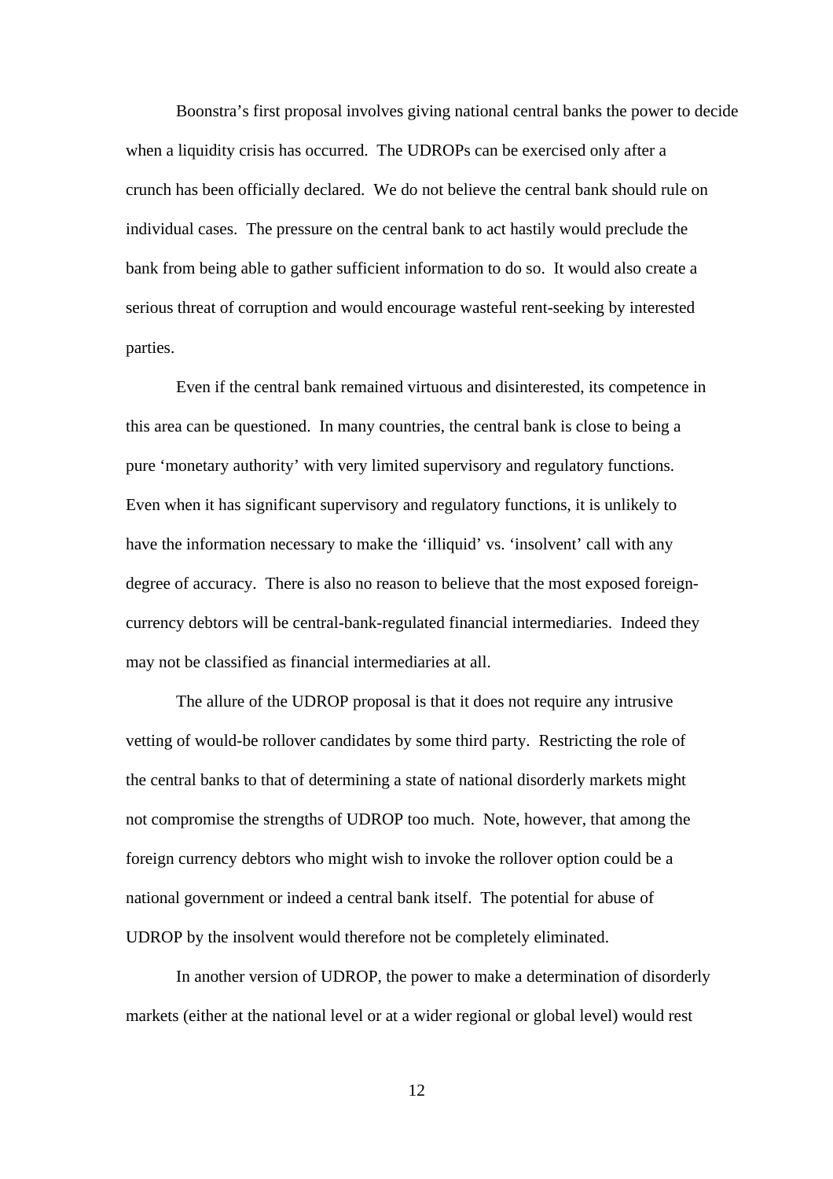Boonstra's first proposal involves giving national central banks the power to decide when a liquidity crisis has occurred. The UDROPs can be exercised only after a crunch has been officially declared. We do not believe the central bank should rule on individual cases. The pressure on the central bank to act hastily would preclude the bank from being able to gather sufficient information to do so. It would also create a serious threat of corruption and would encourage wasteful rent-seeking by interested parties.

Even if the central bank remained virtuous and disinterested, its competence in this area can be questioned. In many countries, the central bank is close to being a pure 'monetary authority' with very limited supervisory and regulatory functions. Even when it has significant supervisory and regulatory functions, it is unlikely to have the information necessary to make the 'illiquid' vs. 'insolvent' call with any degree of accuracy. There is also no reason to believe that the most exposed foreigncurrency debtors will be central-bank-regulated financial intermediaries. Indeed they may not be classified as financial intermediaries at all.

The allure of the UDROP proposal is that it does not require any intrusive vetting of would-be rollover candidates by some third party. Restricting the role of the central banks to that of determining a state of national disorderly markets might not compromise the strengths of UDROP too much. Note, however, that among the foreign currency debtors who might wish to invoke the rollover option could be a national government or indeed a central bank itself. The potential for abuse of UDROP by the insolvent would therefore not be completely eliminated.

In another version of UDROP, the power to make a determination of disorderly markets (either at the national level or at a wider regional or global level) would rest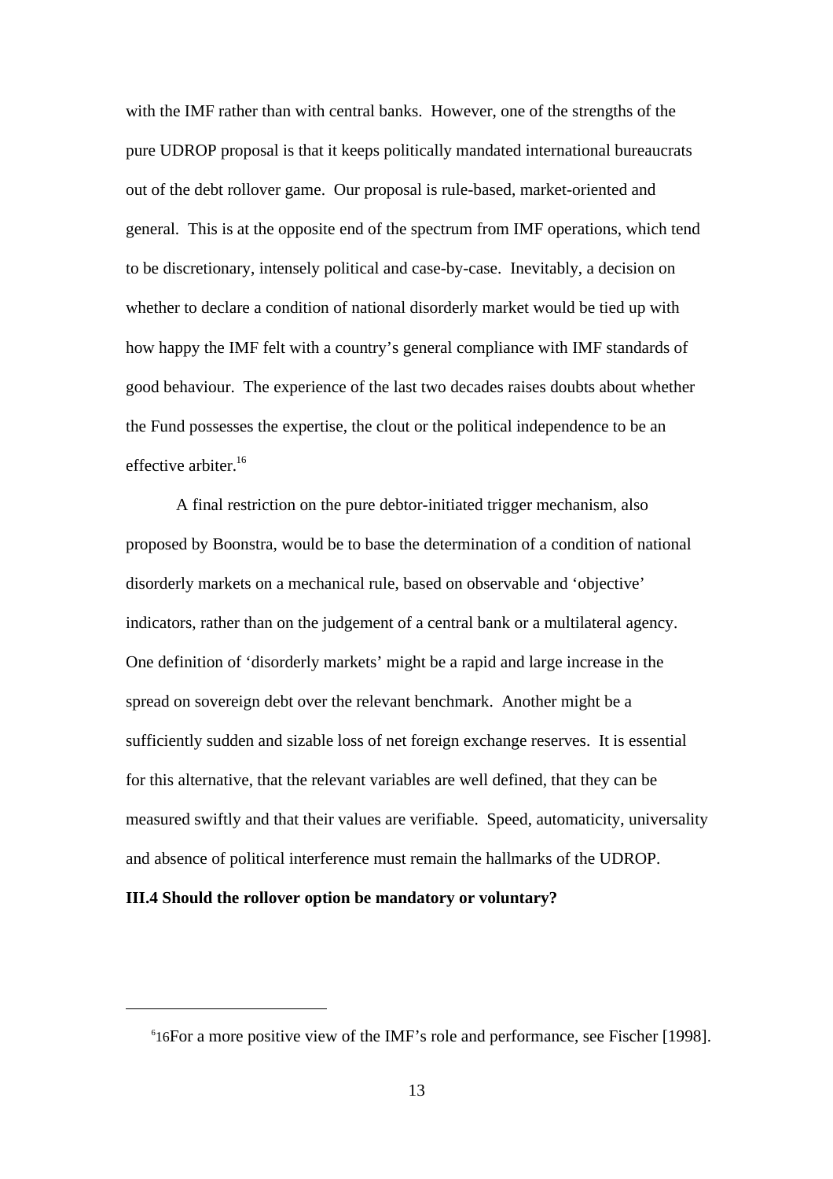with the IMF rather than with central banks. However, one of the strengths of the pure UDROP proposal is that it keeps politically mandated international bureaucrats out of the debt rollover game. Our proposal is rule-based, market-oriented and general. This is at the opposite end of the spectrum from IMF operations, which tend to be discretionary, intensely political and case-by-case. Inevitably, a decision on whether to declare a condition of national disorderly market would be tied up with how happy the IMF felt with a country's general compliance with IMF standards of good behaviour. The experience of the last two decades raises doubts about whether the Fund possesses the expertise, the clout or the political independence to be an effective arbiter.<sup>16</sup>

A final restriction on the pure debtor-initiated trigger mechanism, also proposed by Boonstra, would be to base the determination of a condition of national disorderly markets on a mechanical rule, based on observable and 'objective' indicators, rather than on the judgement of a central bank or a multilateral agency. One definition of 'disorderly markets' might be a rapid and large increase in the spread on sovereign debt over the relevant benchmark. Another might be a sufficiently sudden and sizable loss of net foreign exchange reserves. It is essential for this alternative, that the relevant variables are well defined, that they can be measured swiftly and that their values are verifiable. Speed, automaticity, universality and absence of political interference must remain the hallmarks of the UDROP.

#### **III.4 Should the rollover option be mandatory or voluntary?**

<sup>6</sup> 16For a more positive view of the IMF's role and performance, see Fischer [1998].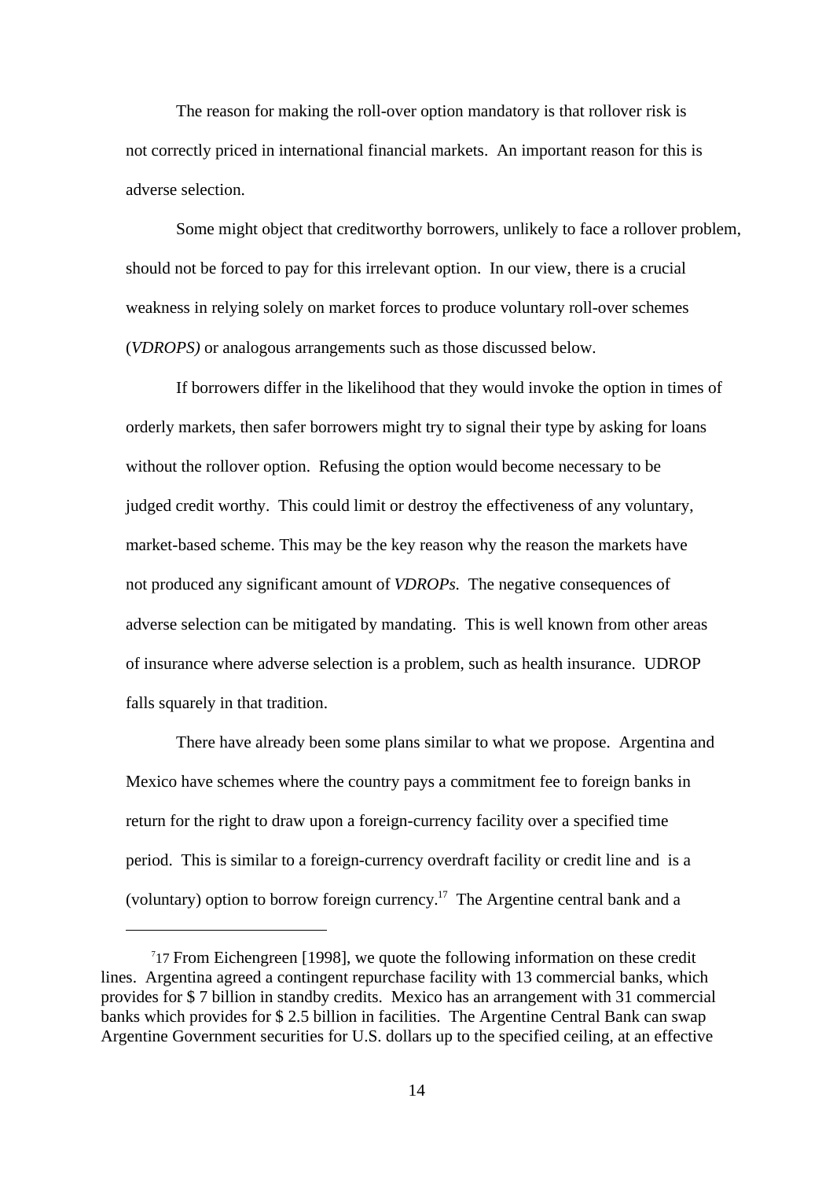The reason for making the roll-over option mandatory is that rollover risk is not correctly priced in international financial markets. An important reason for this is adverse selection.

Some might object that creditworthy borrowers, unlikely to face a rollover problem, should not be forced to pay for this irrelevant option. In our view, there is a crucial weakness in relying solely on market forces to produce voluntary roll-over schemes (*VDROPS)* or analogous arrangements such as those discussed below.

If borrowers differ in the likelihood that they would invoke the option in times of orderly markets, then safer borrowers might try to signal their type by asking for loans without the rollover option. Refusing the option would become necessary to be judged credit worthy. This could limit or destroy the effectiveness of any voluntary, market-based scheme. This may be the key reason why the reason the markets have not produced any significant amount of *VDROPs.* The negative consequences of adverse selection can be mitigated by mandating. This is well known from other areas of insurance where adverse selection is a problem, such as health insurance. UDROP falls squarely in that tradition.

There have already been some plans similar to what we propose. Argentina and Mexico have schemes where the country pays a commitment fee to foreign banks in return for the right to draw upon a foreign-currency facility over a specified time period. This is similar to a foreign-currency overdraft facility or credit line and is a (voluntary) option to borrow foreign currency.<sup>17</sup> The Argentine central bank and a

<sup>&</sup>lt;sup>7</sup>17 From Eichengreen [1998], we quote the following information on these credit lines. Argentina agreed a contingent repurchase facility with 13 commercial banks, which provides for \$ 7 billion in standby credits. Mexico has an arrangement with 31 commercial banks which provides for \$ 2.5 billion in facilities. The Argentine Central Bank can swap Argentine Government securities for U.S. dollars up to the specified ceiling, at an effective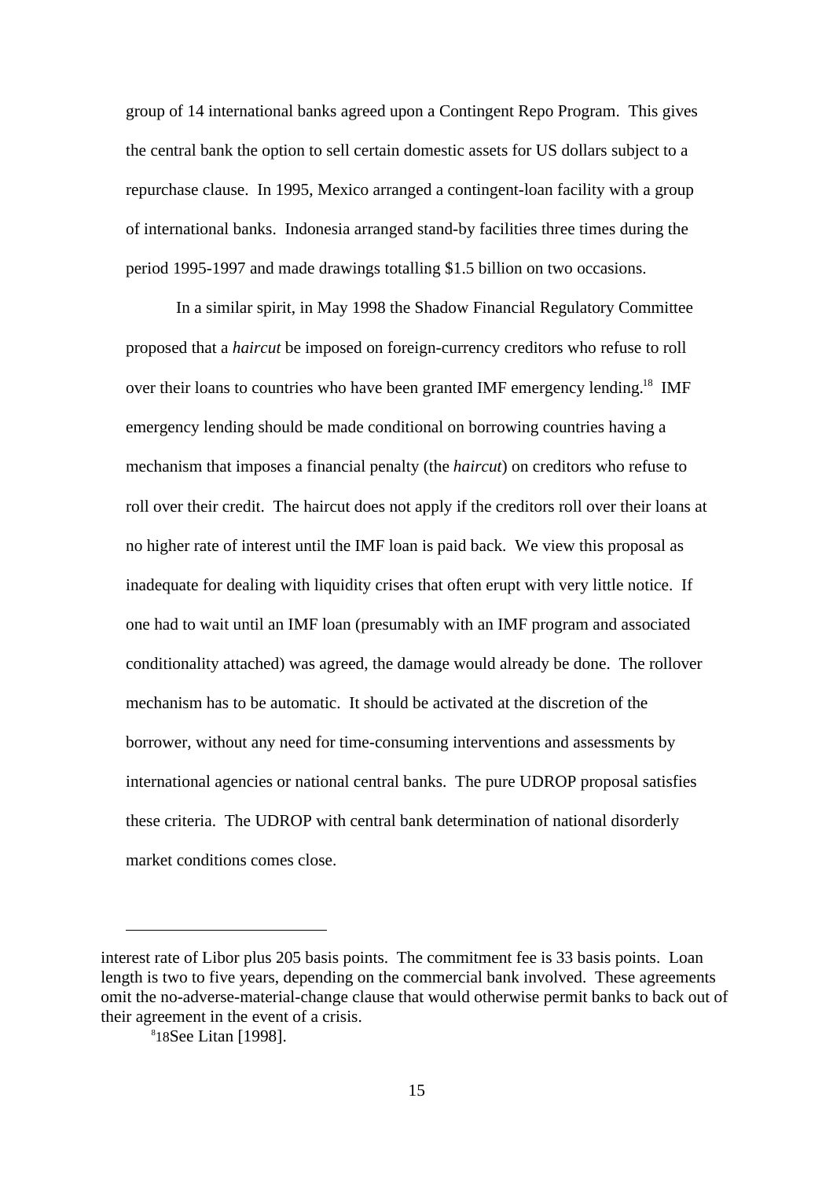group of 14 international banks agreed upon a Contingent Repo Program. This gives the central bank the option to sell certain domestic assets for US dollars subject to a repurchase clause. In 1995, Mexico arranged a contingent-loan facility with a group of international banks. Indonesia arranged stand-by facilities three times during the period 1995-1997 and made drawings totalling \$1.5 billion on two occasions.

In a similar spirit, in May 1998 the Shadow Financial Regulatory Committee proposed that a *haircut* be imposed on foreign-currency creditors who refuse to roll over their loans to countries who have been granted IMF emergency lending.<sup>18</sup> IMF emergency lending should be made conditional on borrowing countries having a mechanism that imposes a financial penalty (the *haircut*) on creditors who refuse to roll over their credit. The haircut does not apply if the creditors roll over their loans at no higher rate of interest until the IMF loan is paid back. We view this proposal as inadequate for dealing with liquidity crises that often erupt with very little notice. If one had to wait until an IMF loan (presumably with an IMF program and associated conditionality attached) was agreed, the damage would already be done. The rollover mechanism has to be automatic. It should be activated at the discretion of the borrower, without any need for time-consuming interventions and assessments by international agencies or national central banks. The pure UDROP proposal satisfies these criteria. The UDROP with central bank determination of national disorderly market conditions comes close.

interest rate of Libor plus 205 basis points. The commitment fee is 33 basis points. Loan length is two to five years, depending on the commercial bank involved. These agreements omit the no-adverse-material-change clause that would otherwise permit banks to back out of their agreement in the event of a crisis.

<sup>8</sup> 18See Litan [1998].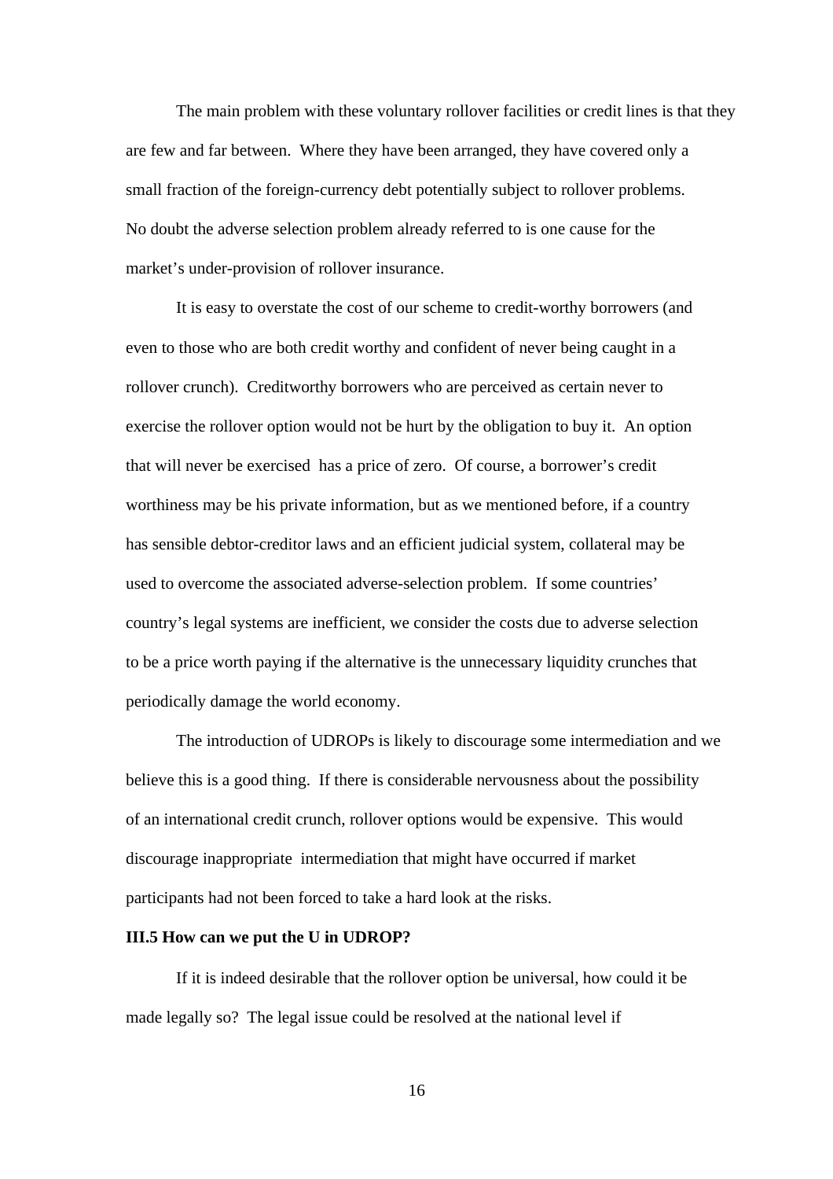The main problem with these voluntary rollover facilities or credit lines is that they are few and far between. Where they have been arranged, they have covered only a small fraction of the foreign-currency debt potentially subject to rollover problems. No doubt the adverse selection problem already referred to is one cause for the market's under-provision of rollover insurance.

It is easy to overstate the cost of our scheme to credit-worthy borrowers (and even to those who are both credit worthy and confident of never being caught in a rollover crunch). Creditworthy borrowers who are perceived as certain never to exercise the rollover option would not be hurt by the obligation to buy it. An option that will never be exercised has a price of zero. Of course, a borrower's credit worthiness may be his private information, but as we mentioned before, if a country has sensible debtor-creditor laws and an efficient judicial system, collateral may be used to overcome the associated adverse-selection problem. If some countries' country's legal systems are inefficient, we consider the costs due to adverse selection to be a price worth paying if the alternative is the unnecessary liquidity crunches that periodically damage the world economy.

The introduction of UDROPs is likely to discourage some intermediation and we believe this is a good thing. If there is considerable nervousness about the possibility of an international credit crunch, rollover options would be expensive. This would discourage inappropriate intermediation that might have occurred if market participants had not been forced to take a hard look at the risks.

#### **III.5 How can we put the U in UDROP?**

If it is indeed desirable that the rollover option be universal, how could it be made legally so? The legal issue could be resolved at the national level if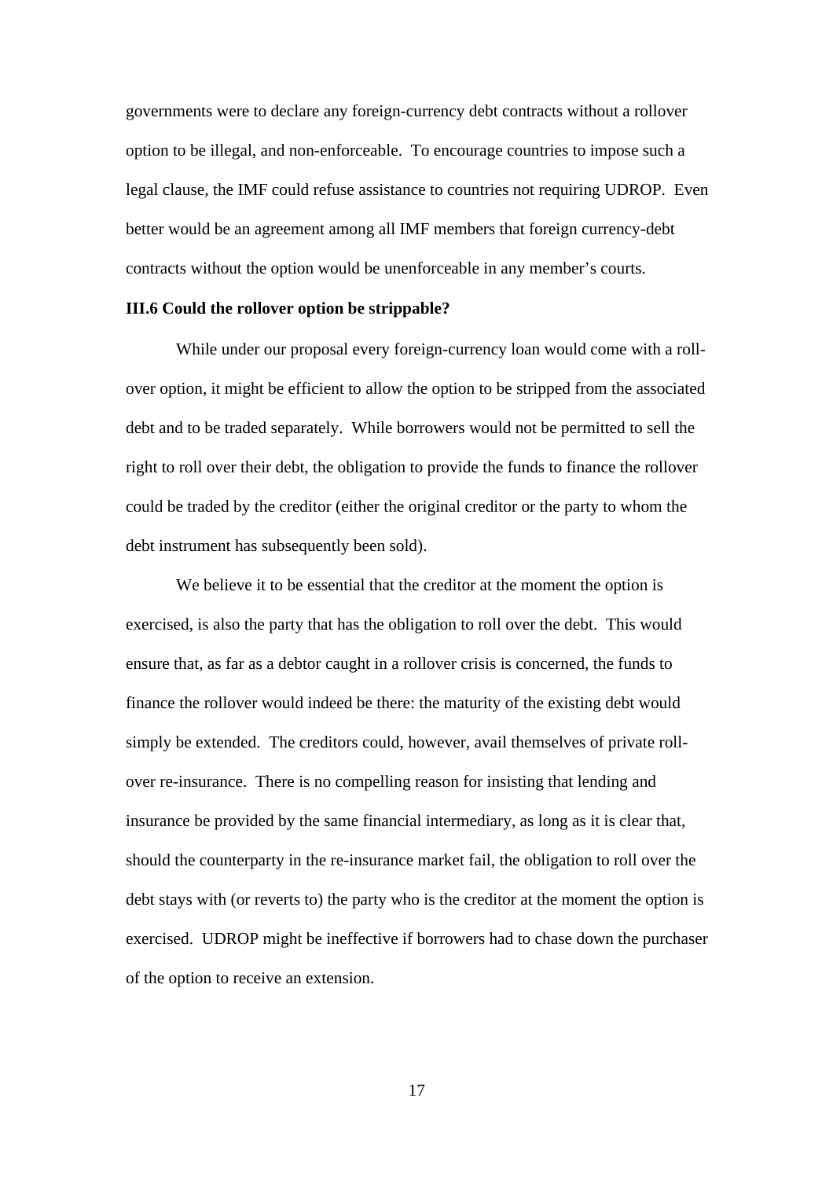governments were to declare any foreign-currency debt contracts without a rollover option to be illegal, and non-enforceable. To encourage countries to impose such a legal clause, the IMF could refuse assistance to countries not requiring UDROP. Even better would be an agreement among all IMF members that foreign currency-debt contracts without the option would be unenforceable in any member's courts.

#### **III.6 Could the rollover option be strippable?**

While under our proposal every foreign-currency loan would come with a rollover option, it might be efficient to allow the option to be stripped from the associated debt and to be traded separately. While borrowers would not be permitted to sell the right to roll over their debt, the obligation to provide the funds to finance the rollover could be traded by the creditor (either the original creditor or the party to whom the debt instrument has subsequently been sold).

We believe it to be essential that the creditor at the moment the option is exercised, is also the party that has the obligation to roll over the debt. This would ensure that, as far as a debtor caught in a rollover crisis is concerned, the funds to finance the rollover would indeed be there: the maturity of the existing debt would simply be extended. The creditors could, however, avail themselves of private rollover re-insurance. There is no compelling reason for insisting that lending and insurance be provided by the same financial intermediary, as long as it is clear that, should the counterparty in the re-insurance market fail, the obligation to roll over the debt stays with (or reverts to) the party who is the creditor at the moment the option is exercised. UDROP might be ineffective if borrowers had to chase down the purchaser of the option to receive an extension.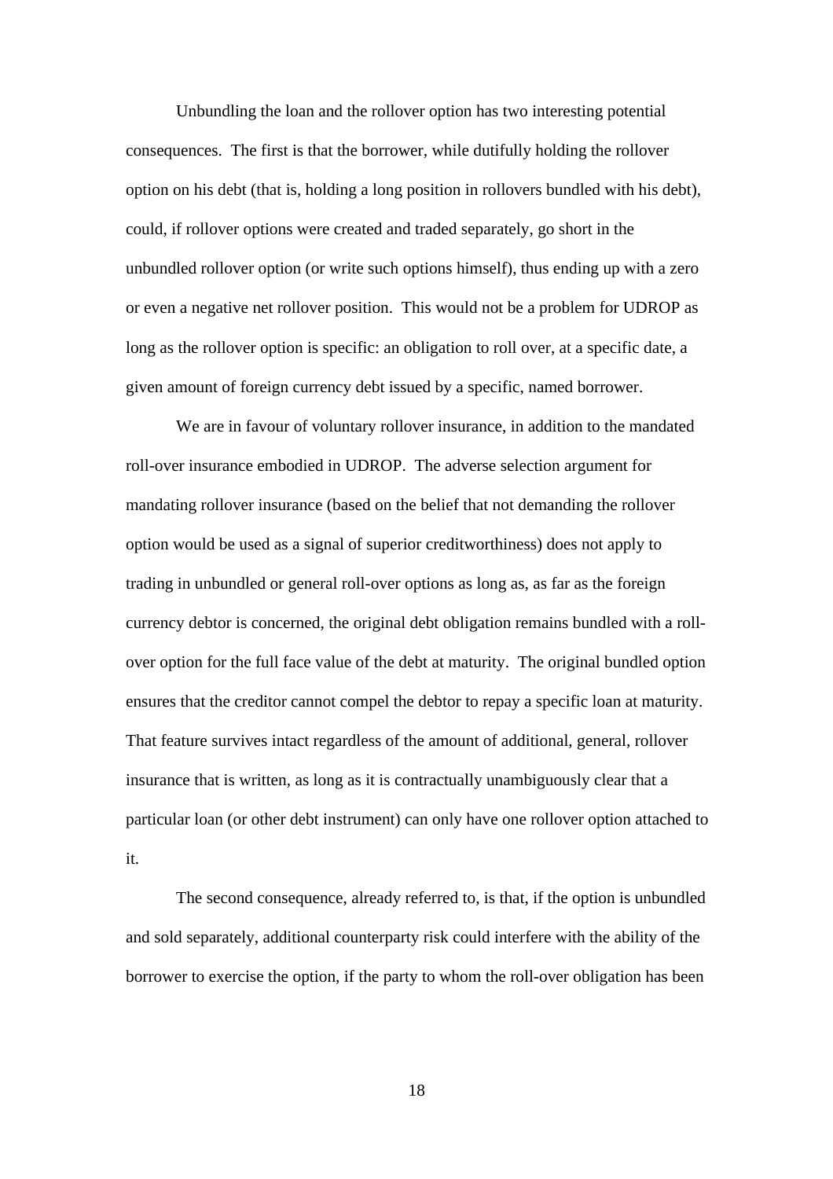Unbundling the loan and the rollover option has two interesting potential consequences. The first is that the borrower, while dutifully holding the rollover option on his debt (that is, holding a long position in rollovers bundled with his debt), could, if rollover options were created and traded separately, go short in the unbundled rollover option (or write such options himself), thus ending up with a zero or even a negative net rollover position. This would not be a problem for UDROP as long as the rollover option is specific: an obligation to roll over, at a specific date, a given amount of foreign currency debt issued by a specific, named borrower.

We are in favour of voluntary rollover insurance, in addition to the mandated roll-over insurance embodied in UDROP. The adverse selection argument for mandating rollover insurance (based on the belief that not demanding the rollover option would be used as a signal of superior creditworthiness) does not apply to trading in unbundled or general roll-over options as long as, as far as the foreign currency debtor is concerned, the original debt obligation remains bundled with a rollover option for the full face value of the debt at maturity. The original bundled option ensures that the creditor cannot compel the debtor to repay a specific loan at maturity. That feature survives intact regardless of the amount of additional, general, rollover insurance that is written, as long as it is contractually unambiguously clear that a particular loan (or other debt instrument) can only have one rollover option attached to it.

The second consequence, already referred to, is that, if the option is unbundled and sold separately, additional counterparty risk could interfere with the ability of the borrower to exercise the option, if the party to whom the roll-over obligation has been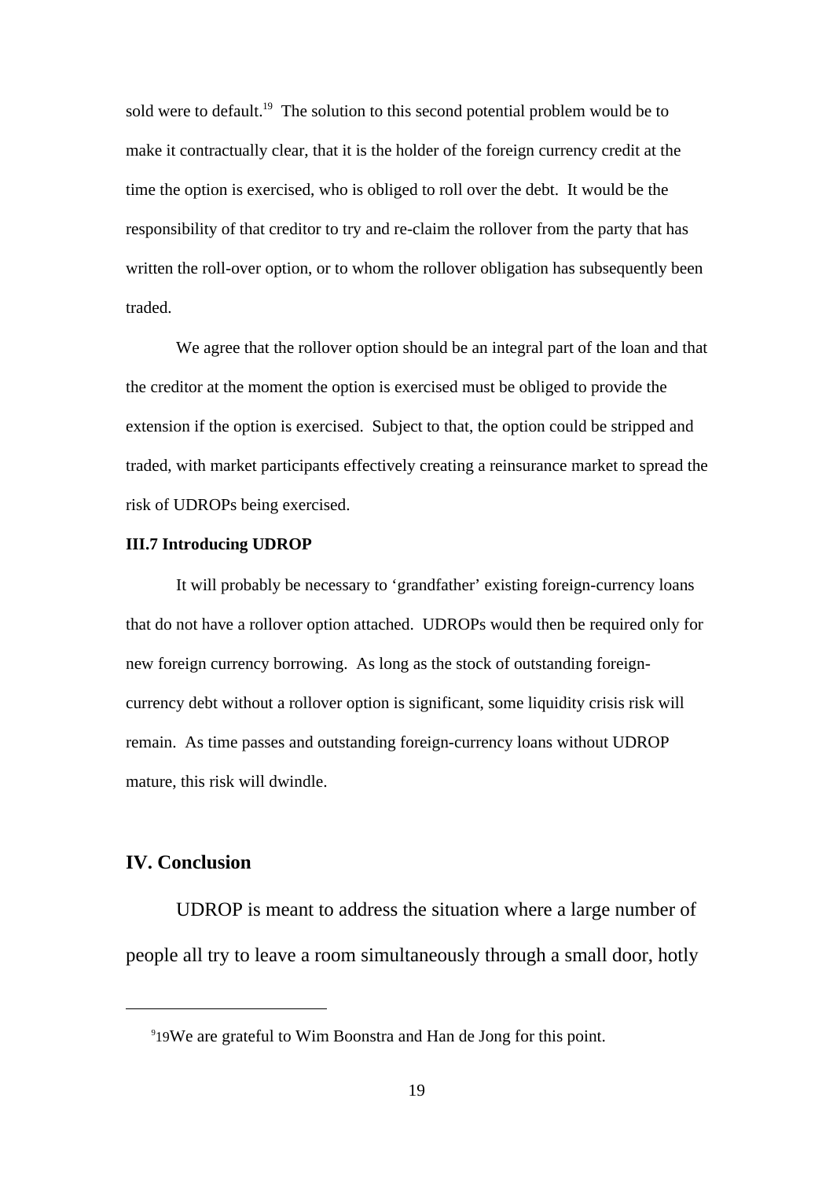sold were to default.<sup>19</sup> The solution to this second potential problem would be to make it contractually clear, that it is the holder of the foreign currency credit at the time the option is exercised, who is obliged to roll over the debt. It would be the responsibility of that creditor to try and re-claim the rollover from the party that has written the roll-over option, or to whom the rollover obligation has subsequently been traded.

We agree that the rollover option should be an integral part of the loan and that the creditor at the moment the option is exercised must be obliged to provide the extension if the option is exercised. Subject to that, the option could be stripped and traded, with market participants effectively creating a reinsurance market to spread the risk of UDROPs being exercised.

#### **III.7 Introducing UDROP**

It will probably be necessary to 'grandfather' existing foreign-currency loans that do not have a rollover option attached. UDROPs would then be required only for new foreign currency borrowing. As long as the stock of outstanding foreigncurrency debt without a rollover option is significant, some liquidity crisis risk will remain. As time passes and outstanding foreign-currency loans without UDROP mature, this risk will dwindle.

#### **IV. Conclusion**

UDROP is meant to address the situation where a large number of people all try to leave a room simultaneously through a small door, hotly

<sup>9</sup> 19We are grateful to Wim Boonstra and Han de Jong for this point.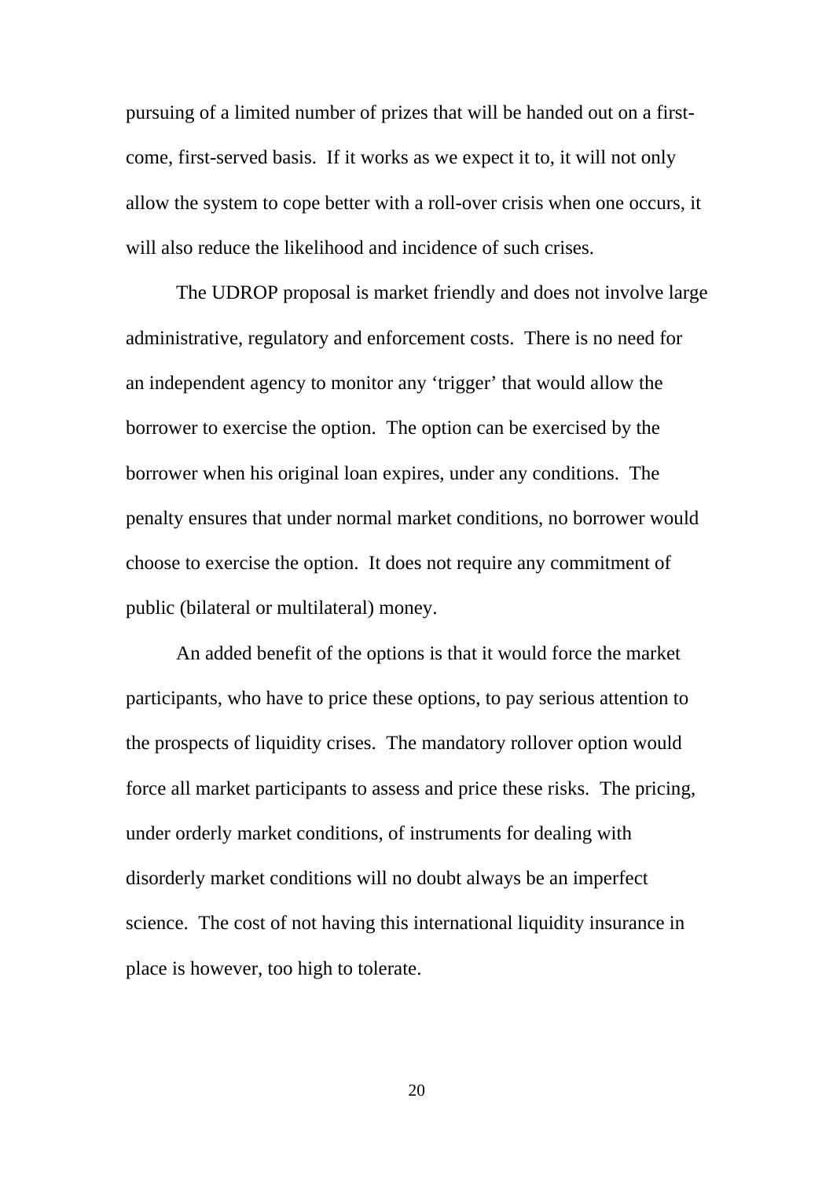pursuing of a limited number of prizes that will be handed out on a firstcome, first-served basis. If it works as we expect it to, it will not only allow the system to cope better with a roll-over crisis when one occurs, it will also reduce the likelihood and incidence of such crises.

The UDROP proposal is market friendly and does not involve large administrative, regulatory and enforcement costs. There is no need for an independent agency to monitor any 'trigger' that would allow the borrower to exercise the option. The option can be exercised by the borrower when his original loan expires, under any conditions. The penalty ensures that under normal market conditions, no borrower would choose to exercise the option. It does not require any commitment of public (bilateral or multilateral) money.

An added benefit of the options is that it would force the market participants, who have to price these options, to pay serious attention to the prospects of liquidity crises. The mandatory rollover option would force all market participants to assess and price these risks. The pricing, under orderly market conditions, of instruments for dealing with disorderly market conditions will no doubt always be an imperfect science. The cost of not having this international liquidity insurance in place is however, too high to tolerate.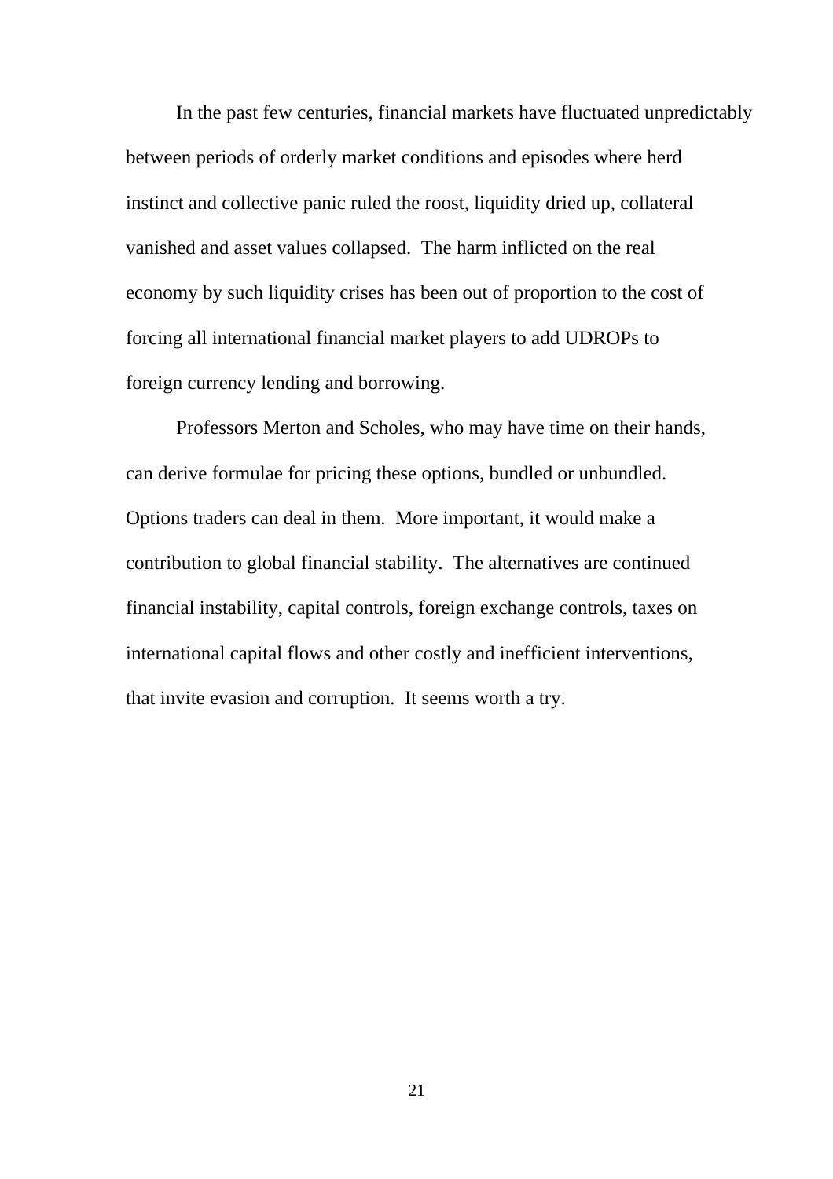In the past few centuries, financial markets have fluctuated unpredictably between periods of orderly market conditions and episodes where herd instinct and collective panic ruled the roost, liquidity dried up, collateral vanished and asset values collapsed. The harm inflicted on the real economy by such liquidity crises has been out of proportion to the cost of forcing all international financial market players to add UDROPs to foreign currency lending and borrowing.

Professors Merton and Scholes, who may have time on their hands, can derive formulae for pricing these options, bundled or unbundled. Options traders can deal in them. More important, it would make a contribution to global financial stability. The alternatives are continued financial instability, capital controls, foreign exchange controls, taxes on international capital flows and other costly and inefficient interventions, that invite evasion and corruption. It seems worth a try.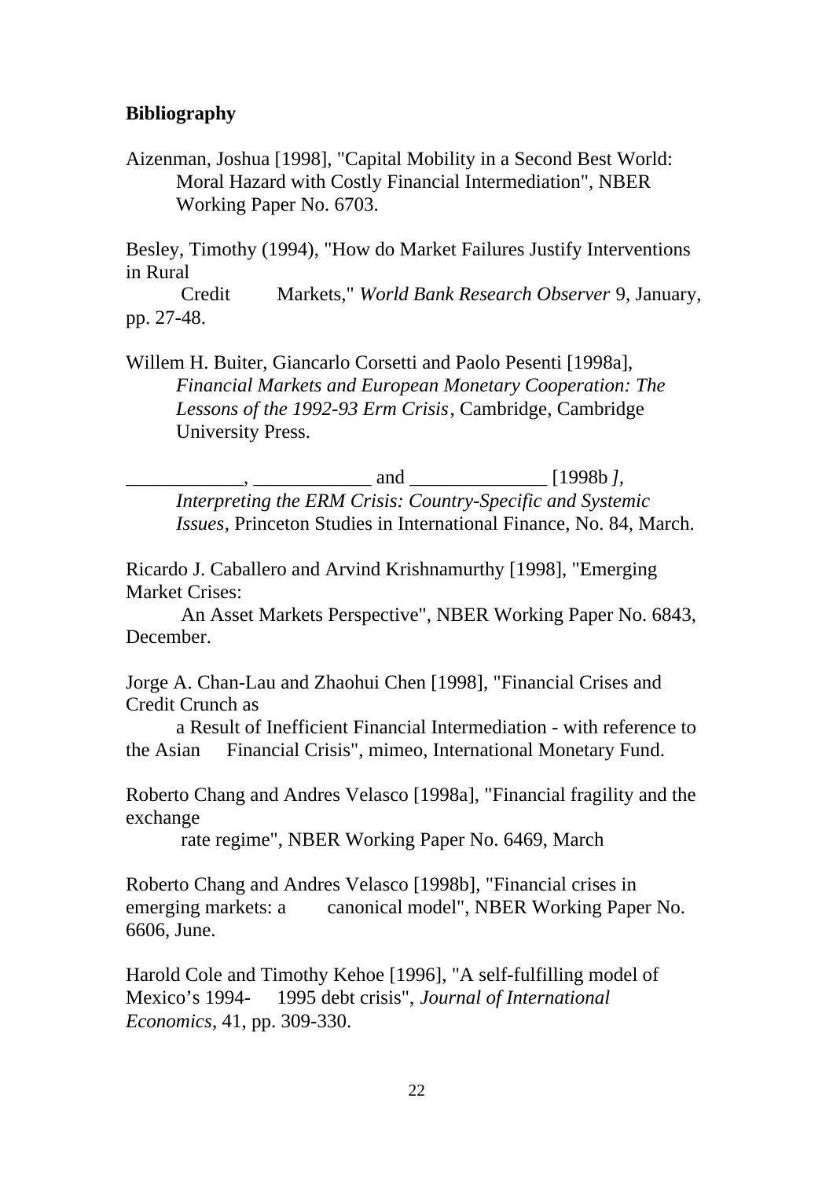### **Bibliography**

Aizenman, Joshua [1998], "Capital Mobility in a Second Best World: Moral Hazard with Costly Financial Intermediation", NBER Working Paper No. 6703.

Besley, Timothy (1994), "How do Market Failures Justify Interventions in Rural

 Credit Markets," *World Bank Research Observer* 9, January, pp. 27-48.

Willem H. Buiter, Giancarlo Corsetti and Paolo Pesenti [1998a], *Financial Markets and European Monetary Cooperation: The Lessons of the 1992-93 Erm Crisis*, Cambridge, Cambridge University Press.

\_\_\_\_\_\_\_\_\_\_\_\_, \_\_\_\_\_\_\_\_\_\_\_\_ and \_\_\_\_\_\_\_\_\_\_\_\_\_\_ [1998b *], Interpreting the ERM Crisis: Country-Specific and Systemic Issues*, Princeton Studies in International Finance, No. 84, March.

Ricardo J. Caballero and Arvind Krishnamurthy [1998], "Emerging Market Crises:

 An Asset Markets Perspective", NBER Working Paper No. 6843, December.

Jorge A. Chan-Lau and Zhaohui Chen [1998], "Financial Crises and Credit Crunch as

a Result of Inefficient Financial Intermediation - with reference to the Asian Financial Crisis", mimeo, International Monetary Fund.

Roberto Chang and Andres Velasco [1998a], "Financial fragility and the exchange

rate regime", NBER Working Paper No. 6469, March

Roberto Chang and Andres Velasco [1998b], "Financial crises in emerging markets: a canonical model", NBER Working Paper No. 6606, June.

Harold Cole and Timothy Kehoe [1996], "A self-fulfilling model of Mexico's 1994- 1995 debt crisis", *Journal of International Economics*, 41, pp. 309-330.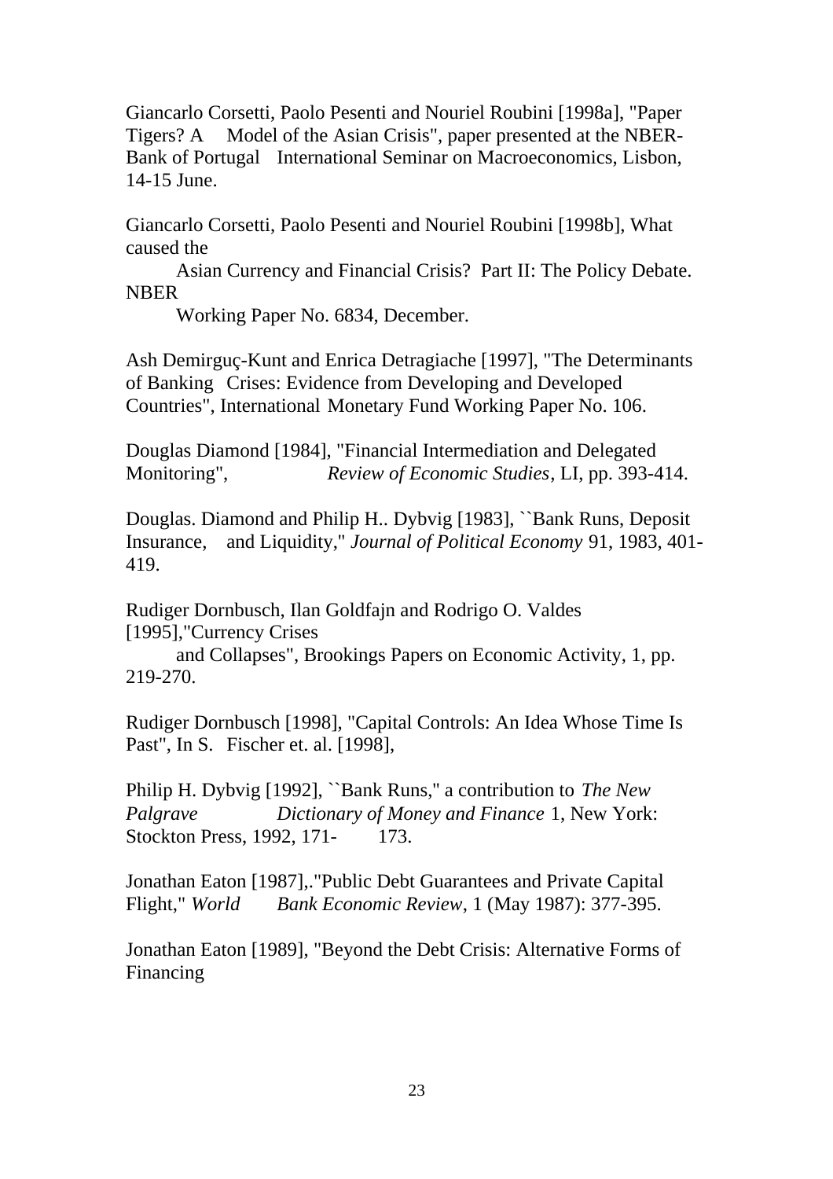Giancarlo Corsetti, Paolo Pesenti and Nouriel Roubini [1998a], "Paper Tigers? A Model of the Asian Crisis", paper presented at the NBER-Bank of Portugal International Seminar on Macroeconomics, Lisbon, 14-15 June.

Giancarlo Corsetti, Paolo Pesenti and Nouriel Roubini [1998b], What caused the

Asian Currency and Financial Crisis? Part II: The Policy Debate. NBER

Working Paper No. 6834, December.

Ash Demirguç-Kunt and Enrica Detragiache [1997], "The Determinants of Banking Crises: Evidence from Developing and Developed Countries", International Monetary Fund Working Paper No. 106.

Douglas Diamond [1984], "Financial Intermediation and Delegated Monitoring", *Review of Economic Studies*, LI, pp. 393-414.

Douglas. Diamond and Philip H.. Dybvig [1983], ``Bank Runs, Deposit Insurance, and Liquidity,'' *Journal of Political Economy* 91, 1983, 401- 419.

Rudiger Dornbusch, Ilan Goldfajn and Rodrigo O. Valdes [1995], "Currency Crises

and Collapses", Brookings Papers on Economic Activity, 1, pp. 219-270.

Rudiger Dornbusch [1998], "Capital Controls: An Idea Whose Time Is Past", In S. Fischer et. al. [1998],

Philip H. Dybvig [1992], ``Bank Runs,'' a contribution to *The New Palgrave Dictionary of Money and Finance* 1, New York: Stockton Press, 1992, 171- 173.

Jonathan Eaton [1987],."Public Debt Guarantees and Private Capital Flight," *World Bank Economic Review*, 1 (May 1987): 377-395.

Jonathan Eaton [1989], "Beyond the Debt Crisis: Alternative Forms of Financing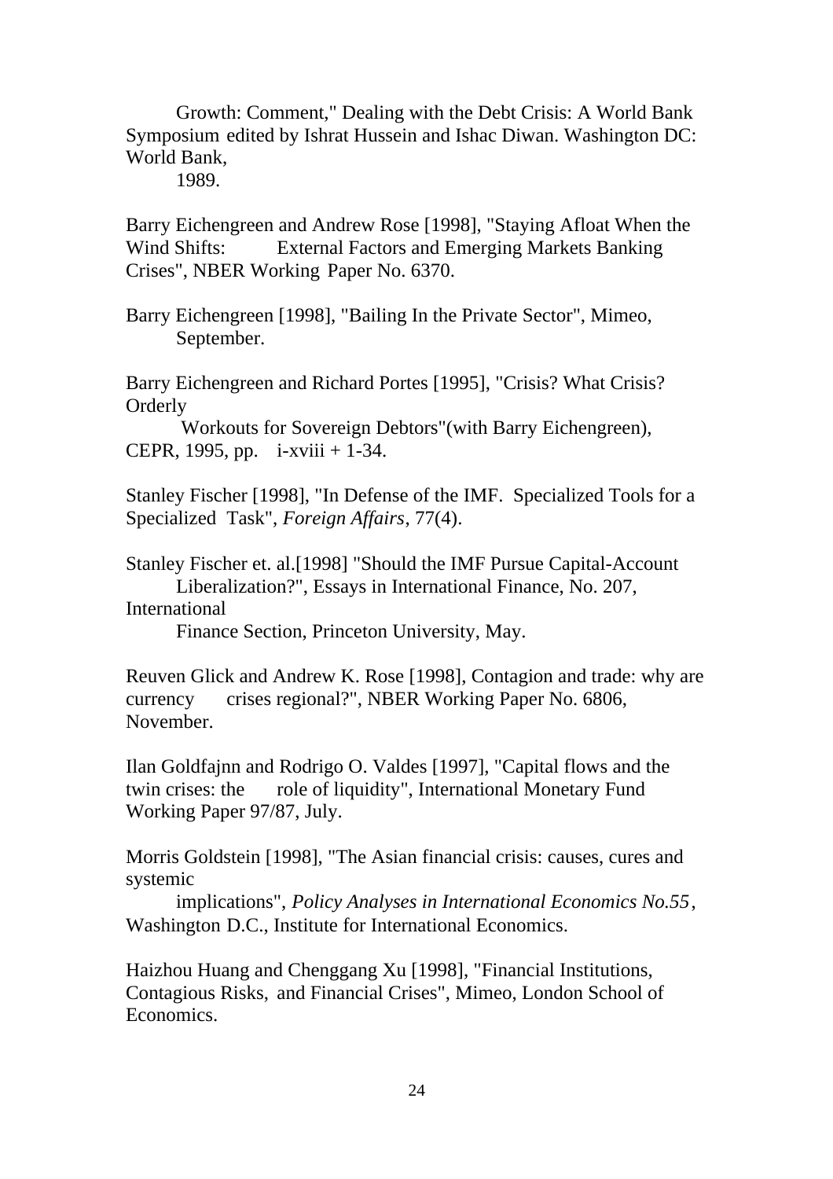Growth: Comment," Dealing with the Debt Crisis: A World Bank Symposium edited by Ishrat Hussein and Ishac Diwan. Washington DC: World Bank,

1989.

Barry Eichengreen and Andrew Rose [1998], "Staying Afloat When the Wind Shifts: External Factors and Emerging Markets Banking Crises", NBER Working Paper No. 6370.

Barry Eichengreen [1998], "Bailing In the Private Sector", Mimeo, September.

Barry Eichengreen and Richard Portes [1995], "Crisis? What Crisis? Orderly

 Workouts for Sovereign Debtors"(with Barry Eichengreen), CEPR, 1995, pp. i-xviii + 1-34.

Stanley Fischer [1998], "In Defense of the IMF. Specialized Tools for a Specialized Task", *Foreign Affairs*, 77(4).

Stanley Fischer et. al.[1998] "Should the IMF Pursue Capital-Account Liberalization?", Essays in International Finance, No. 207,

#### International

Finance Section, Princeton University, May.

Reuven Glick and Andrew K. Rose [1998], Contagion and trade: why are currency crises regional?", NBER Working Paper No. 6806, November.

Ilan Goldfajnn and Rodrigo O. Valdes [1997], "Capital flows and the twin crises: the role of liquidity", International Monetary Fund Working Paper 97/87, July.

Morris Goldstein [1998], "The Asian financial crisis: causes, cures and systemic

 implications", *Policy Analyses in International Economics No.55*, Washington D.C., Institute for International Economics.

Haizhou Huang and Chenggang Xu [1998], "Financial Institutions, Contagious Risks, and Financial Crises", Mimeo, London School of Economics.